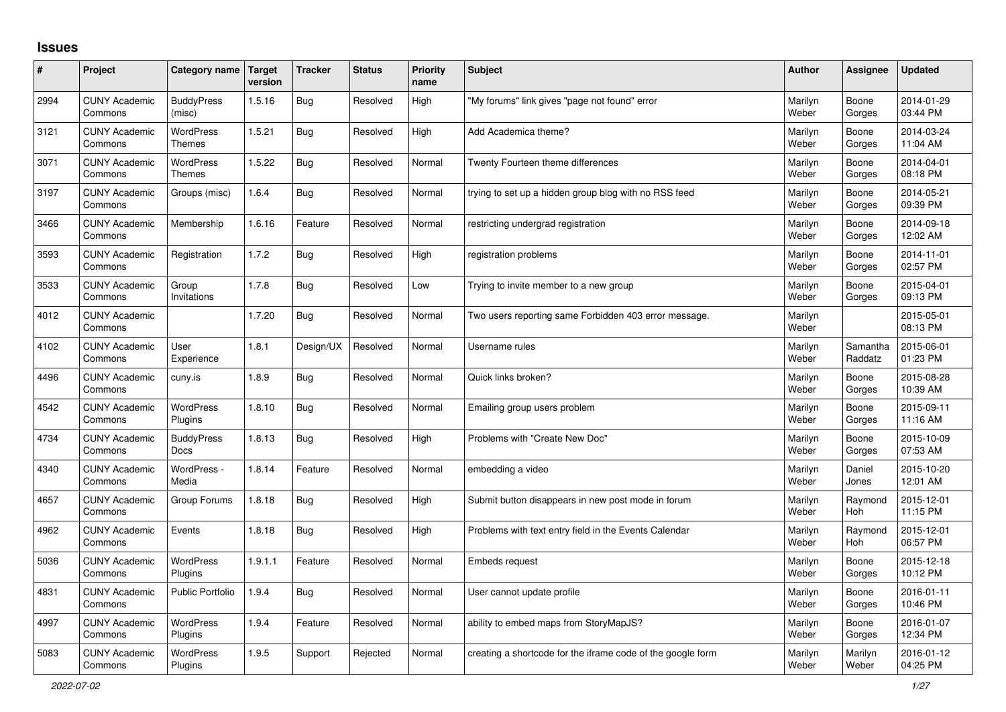## **Issues**

| #    | Project                         | Category name                    | Target<br>version | <b>Tracker</b> | <b>Status</b> | Priority<br>name | <b>Subject</b>                                              | <b>Author</b>    | Assignee            | <b>Updated</b>         |
|------|---------------------------------|----------------------------------|-------------------|----------------|---------------|------------------|-------------------------------------------------------------|------------------|---------------------|------------------------|
| 2994 | <b>CUNY Academic</b><br>Commons | <b>BuddyPress</b><br>(misc)      | 1.5.16            | <b>Bug</b>     | Resolved      | High             | "My forums" link gives "page not found" error               | Marilyn<br>Weber | Boone<br>Gorges     | 2014-01-29<br>03:44 PM |
| 3121 | <b>CUNY Academic</b><br>Commons | WordPress<br>Themes              | 1.5.21            | <b>Bug</b>     | Resolved      | High             | Add Academica theme?                                        | Marilyn<br>Weber | Boone<br>Gorges     | 2014-03-24<br>11:04 AM |
| 3071 | <b>CUNY Academic</b><br>Commons | <b>WordPress</b><br>Themes       | 1.5.22            | <b>Bug</b>     | Resolved      | Normal           | Twenty Fourteen theme differences                           | Marilyn<br>Weber | Boone<br>Gorges     | 2014-04-01<br>08:18 PM |
| 3197 | <b>CUNY Academic</b><br>Commons | Groups (misc)                    | 1.6.4             | <b>Bug</b>     | Resolved      | Normal           | trying to set up a hidden group blog with no RSS feed       | Marilyn<br>Weber | Boone<br>Gorges     | 2014-05-21<br>09:39 PM |
| 3466 | <b>CUNY Academic</b><br>Commons | Membership                       | 1.6.16            | Feature        | Resolved      | Normal           | restricting undergrad registration                          | Marilyn<br>Weber | Boone<br>Gorges     | 2014-09-18<br>12:02 AM |
| 3593 | <b>CUNY Academic</b><br>Commons | Registration                     | 1.7.2             | Bug            | Resolved      | High             | registration problems                                       | Marilyn<br>Weber | Boone<br>Gorges     | 2014-11-01<br>02:57 PM |
| 3533 | <b>CUNY Academic</b><br>Commons | Group<br>Invitations             | 1.7.8             | <b>Bug</b>     | Resolved      | Low              | Trying to invite member to a new group                      | Marilyn<br>Weber | Boone<br>Gorges     | 2015-04-01<br>09:13 PM |
| 4012 | <b>CUNY Academic</b><br>Commons |                                  | 1.7.20            | <b>Bug</b>     | Resolved      | Normal           | Two users reporting same Forbidden 403 error message.       | Marilyn<br>Weber |                     | 2015-05-01<br>08:13 PM |
| 4102 | <b>CUNY Academic</b><br>Commons | User<br>Experience               | 1.8.1             | Design/UX      | Resolved      | Normal           | Username rules                                              | Marilyn<br>Weber | Samantha<br>Raddatz | 2015-06-01<br>01:23 PM |
| 4496 | <b>CUNY Academic</b><br>Commons | cuny.is                          | 1.8.9             | <b>Bug</b>     | Resolved      | Normal           | Quick links broken?                                         | Marilyn<br>Weber | Boone<br>Gorges     | 2015-08-28<br>10:39 AM |
| 4542 | <b>CUNY Academic</b><br>Commons | WordPress<br>Plugins             | 1.8.10            | <b>Bug</b>     | Resolved      | Normal           | Emailing group users problem                                | Marilyn<br>Weber | Boone<br>Gorges     | 2015-09-11<br>11:16 AM |
| 4734 | <b>CUNY Academic</b><br>Commons | <b>BuddyPress</b><br><b>Docs</b> | 1.8.13            | <b>Bug</b>     | Resolved      | High             | Problems with "Create New Doc"                              | Marilyn<br>Weber | Boone<br>Gorges     | 2015-10-09<br>07:53 AM |
| 4340 | <b>CUNY Academic</b><br>Commons | WordPress -<br>Media             | 1.8.14            | Feature        | Resolved      | Normal           | embedding a video                                           | Marilyn<br>Weber | Daniel<br>Jones     | 2015-10-20<br>12:01 AM |
| 4657 | <b>CUNY Academic</b><br>Commons | Group Forums                     | 1.8.18            | Bug            | Resolved      | High             | Submit button disappears in new post mode in forum          | Marilyn<br>Weber | Raymond<br>Hoh      | 2015-12-01<br>11:15 PM |
| 4962 | <b>CUNY Academic</b><br>Commons | Events                           | 1.8.18            | <b>Bug</b>     | Resolved      | High             | Problems with text entry field in the Events Calendar       | Marilyn<br>Weber | Raymond<br>Hoh      | 2015-12-01<br>06:57 PM |
| 5036 | <b>CUNY Academic</b><br>Commons | WordPress<br>Plugins             | 1.9.1.1           | Feature        | Resolved      | Normal           | Embeds request                                              | Marilyn<br>Weber | Boone<br>Gorges     | 2015-12-18<br>10:12 PM |
| 4831 | <b>CUNY Academic</b><br>Commons | <b>Public Portfolio</b>          | 1.9.4             | <b>Bug</b>     | Resolved      | Normal           | User cannot update profile                                  | Marilyn<br>Weber | Boone<br>Gorges     | 2016-01-11<br>10:46 PM |
| 4997 | <b>CUNY Academic</b><br>Commons | WordPress<br>Plugins             | 1.9.4             | Feature        | Resolved      | Normal           | ability to embed maps from StoryMapJS?                      | Marilyn<br>Weber | Boone<br>Gorges     | 2016-01-07<br>12:34 PM |
| 5083 | <b>CUNY Academic</b><br>Commons | WordPress<br>Plugins             | 1.9.5             | Support        | Rejected      | Normal           | creating a shortcode for the iframe code of the google form | Marilyn<br>Weber | Marilyn<br>Weber    | 2016-01-12<br>04:25 PM |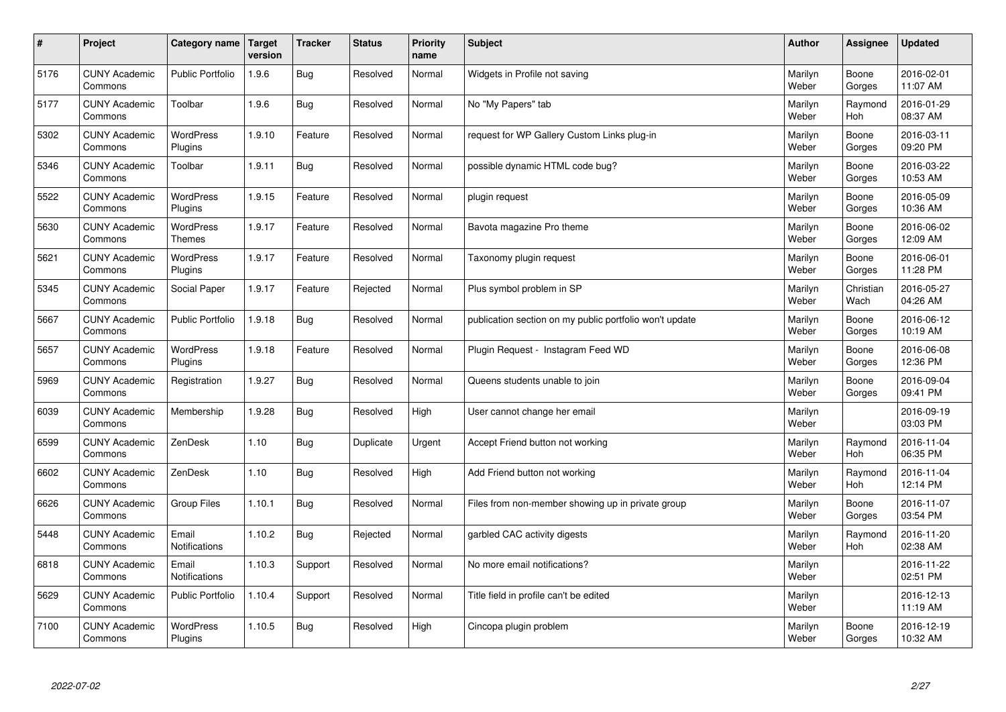| $\sharp$ | Project                         | Category name               | <b>Target</b><br>version | <b>Tracker</b> | <b>Status</b> | Priority<br>name | <b>Subject</b>                                          | <b>Author</b>    | Assignee          | <b>Updated</b>         |
|----------|---------------------------------|-----------------------------|--------------------------|----------------|---------------|------------------|---------------------------------------------------------|------------------|-------------------|------------------------|
| 5176     | <b>CUNY Academic</b><br>Commons | <b>Public Portfolio</b>     | 1.9.6                    | <b>Bug</b>     | Resolved      | Normal           | Widgets in Profile not saving                           | Marilyn<br>Weber | Boone<br>Gorges   | 2016-02-01<br>11:07 AM |
| 5177     | <b>CUNY Academic</b><br>Commons | Toolbar                     | 1.9.6                    | <b>Bug</b>     | Resolved      | Normal           | No "My Papers" tab                                      | Marilyn<br>Weber | Raymond<br>Hoh    | 2016-01-29<br>08:37 AM |
| 5302     | <b>CUNY Academic</b><br>Commons | WordPress<br>Plugins        | 1.9.10                   | Feature        | Resolved      | Normal           | request for WP Gallery Custom Links plug-in             | Marilyn<br>Weber | Boone<br>Gorges   | 2016-03-11<br>09:20 PM |
| 5346     | <b>CUNY Academic</b><br>Commons | Toolbar                     | 1.9.11                   | <b>Bug</b>     | Resolved      | Normal           | possible dynamic HTML code bug?                         | Marilyn<br>Weber | Boone<br>Gorges   | 2016-03-22<br>10:53 AM |
| 5522     | <b>CUNY Academic</b><br>Commons | <b>WordPress</b><br>Plugins | 1.9.15                   | Feature        | Resolved      | Normal           | plugin request                                          | Marilyn<br>Weber | Boone<br>Gorges   | 2016-05-09<br>10:36 AM |
| 5630     | <b>CUNY Academic</b><br>Commons | WordPress<br>Themes         | 1.9.17                   | Feature        | Resolved      | Normal           | Bavota magazine Pro theme                               | Marilyn<br>Weber | Boone<br>Gorges   | 2016-06-02<br>12:09 AM |
| 5621     | <b>CUNY Academic</b><br>Commons | WordPress<br>Plugins        | 1.9.17                   | Feature        | Resolved      | Normal           | Taxonomy plugin request                                 | Marilyn<br>Weber | Boone<br>Gorges   | 2016-06-01<br>11:28 PM |
| 5345     | <b>CUNY Academic</b><br>Commons | Social Paper                | 1.9.17                   | Feature        | Rejected      | Normal           | Plus symbol problem in SP                               | Marilyn<br>Weber | Christian<br>Wach | 2016-05-27<br>04:26 AM |
| 5667     | <b>CUNY Academic</b><br>Commons | Public Portfolio            | 1.9.18                   | <b>Bug</b>     | Resolved      | Normal           | publication section on my public portfolio won't update | Marilyn<br>Weber | Boone<br>Gorges   | 2016-06-12<br>10:19 AM |
| 5657     | <b>CUNY Academic</b><br>Commons | WordPress<br>Plugins        | 1.9.18                   | Feature        | Resolved      | Normal           | Plugin Request - Instagram Feed WD                      | Marilyn<br>Weber | Boone<br>Gorges   | 2016-06-08<br>12:36 PM |
| 5969     | <b>CUNY Academic</b><br>Commons | Registration                | 1.9.27                   | <b>Bug</b>     | Resolved      | Normal           | Queens students unable to join                          | Marilyn<br>Weber | Boone<br>Gorges   | 2016-09-04<br>09:41 PM |
| 6039     | <b>CUNY Academic</b><br>Commons | Membership                  | 1.9.28                   | <b>Bug</b>     | Resolved      | High             | User cannot change her email                            | Marilyn<br>Weber |                   | 2016-09-19<br>03:03 PM |
| 6599     | <b>CUNY Academic</b><br>Commons | ZenDesk                     | 1.10                     | <b>Bug</b>     | Duplicate     | Urgent           | Accept Friend button not working                        | Marilyn<br>Weber | Raymond<br>Hoh    | 2016-11-04<br>06:35 PM |
| 6602     | <b>CUNY Academic</b><br>Commons | ZenDesk                     | 1.10                     | <b>Bug</b>     | Resolved      | High             | Add Friend button not working                           | Marilyn<br>Weber | Raymond<br>Hoh    | 2016-11-04<br>12:14 PM |
| 6626     | <b>CUNY Academic</b><br>Commons | <b>Group Files</b>          | 1.10.1                   | <b>Bug</b>     | Resolved      | Normal           | Files from non-member showing up in private group       | Marilyn<br>Weber | Boone<br>Gorges   | 2016-11-07<br>03:54 PM |
| 5448     | <b>CUNY Academic</b><br>Commons | Email<br>Notifications      | 1.10.2                   | <b>Bug</b>     | Rejected      | Normal           | garbled CAC activity digests                            | Marilyn<br>Weber | Raymond<br>Hoh    | 2016-11-20<br>02:38 AM |
| 6818     | <b>CUNY Academic</b><br>Commons | Email<br>Notifications      | 1.10.3                   | Support        | Resolved      | Normal           | No more email notifications?                            | Marilyn<br>Weber |                   | 2016-11-22<br>02:51 PM |
| 5629     | <b>CUNY Academic</b><br>Commons | <b>Public Portfolio</b>     | 1.10.4                   | Support        | Resolved      | Normal           | Title field in profile can't be edited                  | Marilyn<br>Weber |                   | 2016-12-13<br>11:19 AM |
| 7100     | <b>CUNY Academic</b><br>Commons | <b>WordPress</b><br>Plugins | 1.10.5                   | <b>Bug</b>     | Resolved      | High             | Cincopa plugin problem                                  | Marilyn<br>Weber | Boone<br>Gorges   | 2016-12-19<br>10:32 AM |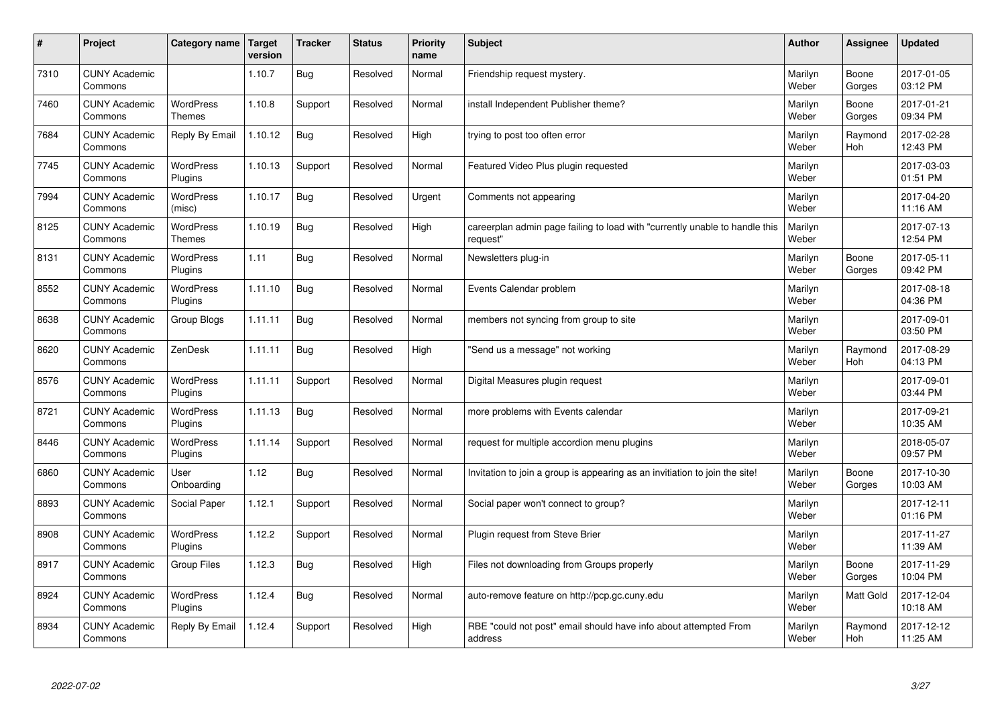| #    | Project                         | Category name                     | Target<br>version | <b>Tracker</b> | <b>Status</b> | <b>Priority</b><br>name | <b>Subject</b>                                                                          | <b>Author</b>    | Assignee              | <b>Updated</b>         |
|------|---------------------------------|-----------------------------------|-------------------|----------------|---------------|-------------------------|-----------------------------------------------------------------------------------------|------------------|-----------------------|------------------------|
| 7310 | <b>CUNY Academic</b><br>Commons |                                   | 1.10.7            | <b>Bug</b>     | Resolved      | Normal                  | Friendship request mystery.                                                             | Marilyn<br>Weber | Boone<br>Gorges       | 2017-01-05<br>03:12 PM |
| 7460 | <b>CUNY Academic</b><br>Commons | <b>WordPress</b><br><b>Themes</b> | 1.10.8            | Support        | Resolved      | Normal                  | install Independent Publisher theme?                                                    | Marilyn<br>Weber | Boone<br>Gorges       | 2017-01-21<br>09:34 PM |
| 7684 | <b>CUNY Academic</b><br>Commons | Reply By Email                    | 1.10.12           | <b>Bug</b>     | Resolved      | High                    | trying to post too often error                                                          | Marilyn<br>Weber | Raymond<br><b>Hoh</b> | 2017-02-28<br>12:43 PM |
| 7745 | <b>CUNY Academic</b><br>Commons | <b>WordPress</b><br>Plugins       | 1.10.13           | Support        | Resolved      | Normal                  | Featured Video Plus plugin requested                                                    | Marilyn<br>Weber |                       | 2017-03-03<br>01:51 PM |
| 7994 | <b>CUNY Academic</b><br>Commons | <b>WordPress</b><br>(misc)        | 1.10.17           | <b>Bug</b>     | Resolved      | Urgent                  | Comments not appearing                                                                  | Marilyn<br>Weber |                       | 2017-04-20<br>11:16 AM |
| 8125 | <b>CUNY Academic</b><br>Commons | WordPress<br><b>Themes</b>        | 1.10.19           | Bug            | Resolved      | High                    | careerplan admin page failing to load with "currently unable to handle this<br>reauest" | Marilyn<br>Weber |                       | 2017-07-13<br>12:54 PM |
| 8131 | <b>CUNY Academic</b><br>Commons | <b>WordPress</b><br>Plugins       | 1.11              | Bug            | Resolved      | Normal                  | Newsletters plug-in                                                                     | Marilyn<br>Weber | Boone<br>Gorges       | 2017-05-11<br>09:42 PM |
| 8552 | <b>CUNY Academic</b><br>Commons | WordPress<br>Plugins              | 1.11.10           | <b>Bug</b>     | Resolved      | Normal                  | Events Calendar problem                                                                 | Marilyn<br>Weber |                       | 2017-08-18<br>04:36 PM |
| 8638 | <b>CUNY Academic</b><br>Commons | Group Blogs                       | 1.11.11           | <b>Bug</b>     | Resolved      | Normal                  | members not syncing from group to site                                                  | Marilyn<br>Weber |                       | 2017-09-01<br>03:50 PM |
| 8620 | <b>CUNY Academic</b><br>Commons | ZenDesk                           | 1.11.11           | <b>Bug</b>     | Resolved      | High                    | "Send us a message" not working                                                         | Marilyn<br>Weber | Raymond<br>Hoh        | 2017-08-29<br>04:13 PM |
| 8576 | <b>CUNY Academic</b><br>Commons | WordPress<br>Plugins              | 1.11.11           | Support        | Resolved      | Normal                  | Digital Measures plugin request                                                         | Marilyn<br>Weber |                       | 2017-09-01<br>03:44 PM |
| 8721 | <b>CUNY Academic</b><br>Commons | WordPress<br>Plugins              | 1.11.13           | <b>Bug</b>     | Resolved      | Normal                  | more problems with Events calendar                                                      | Marilyn<br>Weber |                       | 2017-09-21<br>10:35 AM |
| 8446 | <b>CUNY Academic</b><br>Commons | WordPress<br>Plugins              | 1.11.14           | Support        | Resolved      | Normal                  | request for multiple accordion menu plugins                                             | Marilyn<br>Weber |                       | 2018-05-07<br>09:57 PM |
| 6860 | <b>CUNY Academic</b><br>Commons | User<br>Onboarding                | 1.12              | Bug            | Resolved      | Normal                  | Invitation to join a group is appearing as an invitiation to join the site!             | Marilyn<br>Weber | Boone<br>Gorges       | 2017-10-30<br>10:03 AM |
| 8893 | <b>CUNY Academic</b><br>Commons | Social Paper                      | 1.12.1            | Support        | Resolved      | Normal                  | Social paper won't connect to group?                                                    | Marilyn<br>Weber |                       | 2017-12-11<br>01:16 PM |
| 8908 | <b>CUNY Academic</b><br>Commons | <b>WordPress</b><br>Plugins       | 1.12.2            | Support        | Resolved      | Normal                  | Plugin request from Steve Brier                                                         | Marilyn<br>Weber |                       | 2017-11-27<br>11:39 AM |
| 8917 | <b>CUNY Academic</b><br>Commons | Group Files                       | 1.12.3            | Bug            | Resolved      | High                    | Files not downloading from Groups properly                                              | Marilyn<br>Weber | Boone<br>Gorges       | 2017-11-29<br>10:04 PM |
| 8924 | <b>CUNY Academic</b><br>Commons | WordPress<br>Plugins              | 1.12.4            | <b>Bug</b>     | Resolved      | Normal                  | auto-remove feature on http://pcp.gc.cuny.edu                                           | Marilyn<br>Weber | Matt Gold             | 2017-12-04<br>10:18 AM |
| 8934 | <b>CUNY Academic</b><br>Commons | Reply By Email                    | 1.12.4            | Support        | Resolved      | High                    | RBE "could not post" email should have info about attempted From<br>address             | Marilyn<br>Weber | Raymond<br>Hoh        | 2017-12-12<br>11:25 AM |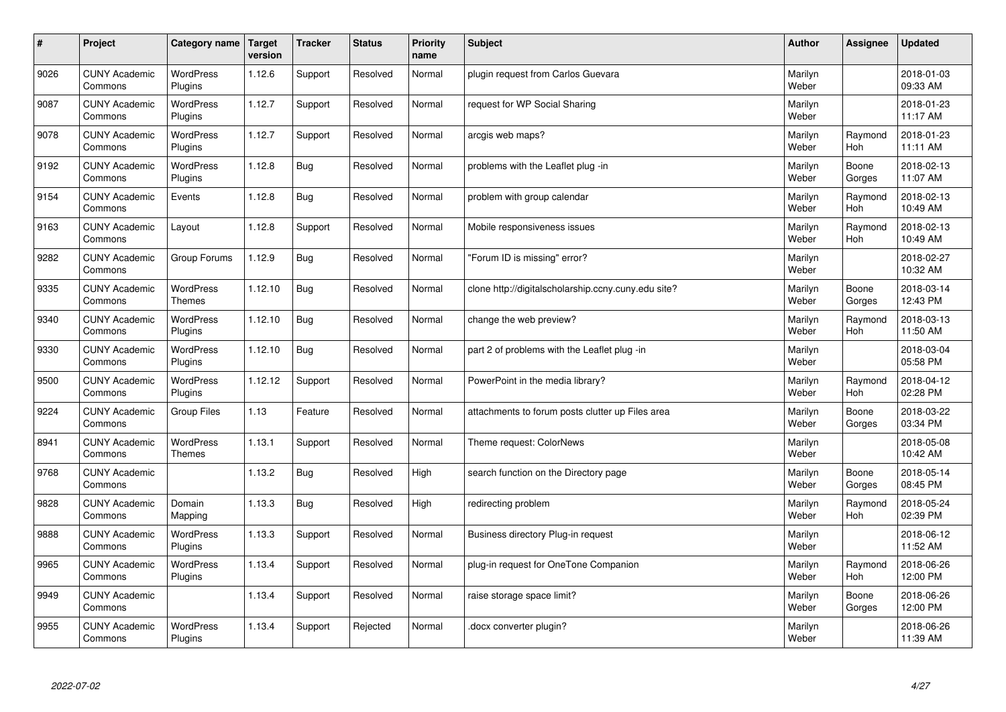| $\vert$ # | Project                         | Category name               | <b>Target</b><br>version | <b>Tracker</b> | <b>Status</b> | <b>Priority</b><br>name | <b>Subject</b>                                      | <b>Author</b>    | Assignee              | <b>Updated</b>         |
|-----------|---------------------------------|-----------------------------|--------------------------|----------------|---------------|-------------------------|-----------------------------------------------------|------------------|-----------------------|------------------------|
| 9026      | <b>CUNY Academic</b><br>Commons | <b>WordPress</b><br>Plugins | 1.12.6                   | Support        | Resolved      | Normal                  | plugin request from Carlos Guevara                  | Marilyn<br>Weber |                       | 2018-01-03<br>09:33 AM |
| 9087      | <b>CUNY Academic</b><br>Commons | WordPress<br>Plugins        | 1.12.7                   | Support        | Resolved      | Normal                  | request for WP Social Sharing                       | Marilyn<br>Weber |                       | 2018-01-23<br>11:17 AM |
| 9078      | <b>CUNY Academic</b><br>Commons | WordPress<br>Plugins        | 1.12.7                   | Support        | Resolved      | Normal                  | arcgis web maps?                                    | Marilyn<br>Weber | Raymond<br><b>Hoh</b> | 2018-01-23<br>11:11 AM |
| 9192      | <b>CUNY Academic</b><br>Commons | <b>WordPress</b><br>Plugins | 1.12.8                   | <b>Bug</b>     | Resolved      | Normal                  | problems with the Leaflet plug -in                  | Marilyn<br>Weber | Boone<br>Gorges       | 2018-02-13<br>11:07 AM |
| 9154      | <b>CUNY Academic</b><br>Commons | Events                      | 1.12.8                   | <b>Bug</b>     | Resolved      | Normal                  | problem with group calendar                         | Marilyn<br>Weber | Raymond<br>Hoh        | 2018-02-13<br>10:49 AM |
| 9163      | <b>CUNY Academic</b><br>Commons | Layout                      | 1.12.8                   | Support        | Resolved      | Normal                  | Mobile responsiveness issues                        | Marilyn<br>Weber | Raymond<br><b>Hoh</b> | 2018-02-13<br>10:49 AM |
| 9282      | <b>CUNY Academic</b><br>Commons | Group Forums                | 1.12.9                   | <b>Bug</b>     | Resolved      | Normal                  | "Forum ID is missing" error?                        | Marilyn<br>Weber |                       | 2018-02-27<br>10:32 AM |
| 9335      | <b>CUNY Academic</b><br>Commons | WordPress<br><b>Themes</b>  | 1.12.10                  | <b>Bug</b>     | Resolved      | Normal                  | clone http://digitalscholarship.ccny.cuny.edu site? | Marilyn<br>Weber | Boone<br>Gorges       | 2018-03-14<br>12:43 PM |
| 9340      | <b>CUNY Academic</b><br>Commons | <b>WordPress</b><br>Plugins | 1.12.10                  | <b>Bug</b>     | Resolved      | Normal                  | change the web preview?                             | Marilyn<br>Weber | Raymond<br><b>Hoh</b> | 2018-03-13<br>11:50 AM |
| 9330      | <b>CUNY Academic</b><br>Commons | WordPress<br>Plugins        | 1.12.10                  | <b>Bug</b>     | Resolved      | Normal                  | part 2 of problems with the Leaflet plug -in        | Marilyn<br>Weber |                       | 2018-03-04<br>05:58 PM |
| 9500      | <b>CUNY Academic</b><br>Commons | WordPress<br>Plugins        | 1.12.12                  | Support        | Resolved      | Normal                  | PowerPoint in the media library?                    | Marilyn<br>Weber | Raymond<br>Hoh        | 2018-04-12<br>02:28 PM |
| 9224      | <b>CUNY Academic</b><br>Commons | <b>Group Files</b>          | 1.13                     | Feature        | Resolved      | Normal                  | attachments to forum posts clutter up Files area    | Marilyn<br>Weber | Boone<br>Gorges       | 2018-03-22<br>03:34 PM |
| 8941      | <b>CUNY Academic</b><br>Commons | WordPress<br>Themes         | 1.13.1                   | Support        | Resolved      | Normal                  | Theme request: ColorNews                            | Marilyn<br>Weber |                       | 2018-05-08<br>10:42 AM |
| 9768      | <b>CUNY Academic</b><br>Commons |                             | 1.13.2                   | <b>Bug</b>     | Resolved      | High                    | search function on the Directory page               | Marilyn<br>Weber | Boone<br>Gorges       | 2018-05-14<br>08:45 PM |
| 9828      | <b>CUNY Academic</b><br>Commons | Domain<br>Mapping           | 1.13.3                   | <b>Bug</b>     | Resolved      | High                    | redirecting problem                                 | Marilyn<br>Weber | Raymond<br>Hoh        | 2018-05-24<br>02:39 PM |
| 9888      | <b>CUNY Academic</b><br>Commons | WordPress<br>Plugins        | 1.13.3                   | Support        | Resolved      | Normal                  | Business directory Plug-in request                  | Marilyn<br>Weber |                       | 2018-06-12<br>11:52 AM |
| 9965      | <b>CUNY Academic</b><br>Commons | WordPress<br>Plugins        | 1.13.4                   | Support        | Resolved      | Normal                  | plug-in request for OneTone Companion               | Marilyn<br>Weber | Raymond<br><b>Hoh</b> | 2018-06-26<br>12:00 PM |
| 9949      | <b>CUNY Academic</b><br>Commons |                             | 1.13.4                   | Support        | Resolved      | Normal                  | raise storage space limit?                          | Marilyn<br>Weber | Boone<br>Gorges       | 2018-06-26<br>12:00 PM |
| 9955      | <b>CUNY Academic</b><br>Commons | <b>WordPress</b><br>Plugins | 1.13.4                   | Support        | Rejected      | Normal                  | docx converter plugin?                              | Marilyn<br>Weber |                       | 2018-06-26<br>11:39 AM |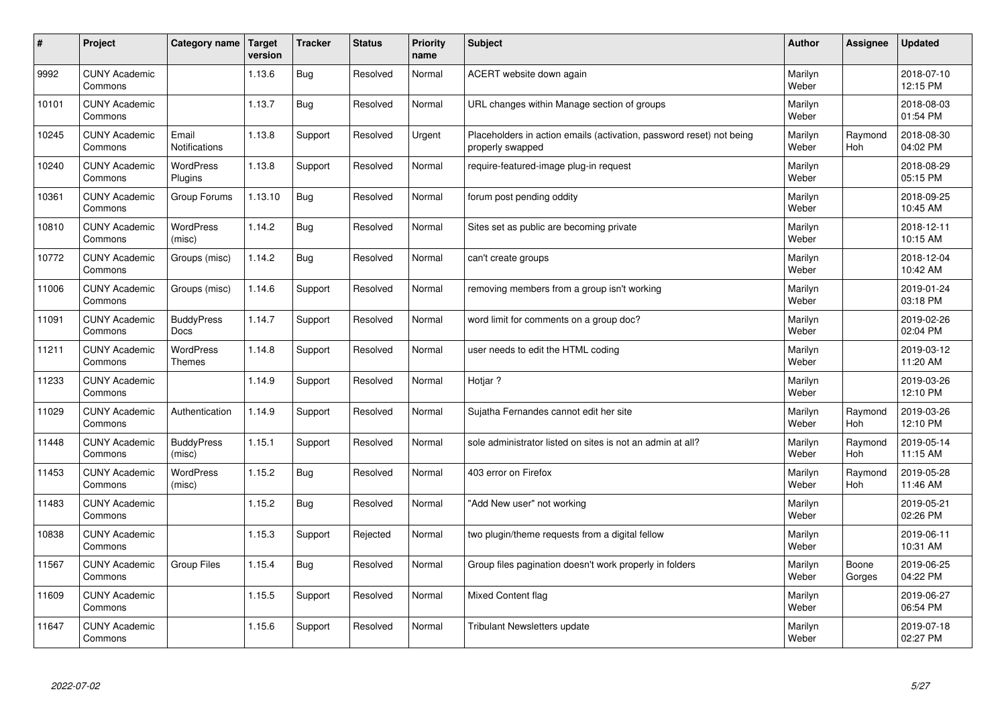| $\vert$ # | Project                         | Category name                    | <b>Target</b><br>version | <b>Tracker</b> | <b>Status</b> | <b>Priority</b><br>name | <b>Subject</b>                                                                           | <b>Author</b>    | Assignee        | <b>Updated</b>         |
|-----------|---------------------------------|----------------------------------|--------------------------|----------------|---------------|-------------------------|------------------------------------------------------------------------------------------|------------------|-----------------|------------------------|
| 9992      | <b>CUNY Academic</b><br>Commons |                                  | 1.13.6                   | <b>Bug</b>     | Resolved      | Normal                  | ACERT website down again                                                                 | Marilyn<br>Weber |                 | 2018-07-10<br>12:15 PM |
| 10101     | <b>CUNY Academic</b><br>Commons |                                  | 1.13.7                   | <b>Bug</b>     | Resolved      | Normal                  | URL changes within Manage section of groups                                              | Marilyn<br>Weber |                 | 2018-08-03<br>01:54 PM |
| 10245     | <b>CUNY Academic</b><br>Commons | Email<br><b>Notifications</b>    | 1.13.8                   | Support        | Resolved      | Urgent                  | Placeholders in action emails (activation, password reset) not being<br>properly swapped | Marilyn<br>Weber | Raymond<br>Hoh  | 2018-08-30<br>04:02 PM |
| 10240     | <b>CUNY Academic</b><br>Commons | <b>WordPress</b><br>Plugins      | 1.13.8                   | Support        | Resolved      | Normal                  | require-featured-image plug-in request                                                   | Marilyn<br>Weber |                 | 2018-08-29<br>05:15 PM |
| 10361     | <b>CUNY Academic</b><br>Commons | Group Forums                     | 1.13.10                  | <b>Bug</b>     | Resolved      | Normal                  | forum post pending oddity                                                                | Marilyn<br>Weber |                 | 2018-09-25<br>10:45 AM |
| 10810     | <b>CUNY Academic</b><br>Commons | WordPress<br>(misc)              | 1.14.2                   | Bug            | Resolved      | Normal                  | Sites set as public are becoming private                                                 | Marilyn<br>Weber |                 | 2018-12-11<br>10:15 AM |
| 10772     | <b>CUNY Academic</b><br>Commons | Groups (misc)                    | 1.14.2                   | <b>Bug</b>     | Resolved      | Normal                  | can't create groups                                                                      | Marilyn<br>Weber |                 | 2018-12-04<br>10:42 AM |
| 11006     | <b>CUNY Academic</b><br>Commons | Groups (misc)                    | 1.14.6                   | Support        | Resolved      | Normal                  | removing members from a group isn't working                                              | Marilyn<br>Weber |                 | 2019-01-24<br>03:18 PM |
| 11091     | <b>CUNY Academic</b><br>Commons | <b>BuddyPress</b><br><b>Docs</b> | 1.14.7                   | Support        | Resolved      | Normal                  | word limit for comments on a group doc?                                                  | Marilyn<br>Weber |                 | 2019-02-26<br>02:04 PM |
| 11211     | <b>CUNY Academic</b><br>Commons | WordPress<br>Themes              | 1.14.8                   | Support        | Resolved      | Normal                  | user needs to edit the HTML coding                                                       | Marilyn<br>Weber |                 | 2019-03-12<br>11:20 AM |
| 11233     | <b>CUNY Academic</b><br>Commons |                                  | 1.14.9                   | Support        | Resolved      | Normal                  | Hotjar?                                                                                  | Marilyn<br>Weber |                 | 2019-03-26<br>12:10 PM |
| 11029     | <b>CUNY Academic</b><br>Commons | Authentication                   | 1.14.9                   | Support        | Resolved      | Normal                  | Sujatha Fernandes cannot edit her site                                                   | Marilyn<br>Weber | Raymond<br>Hoh  | 2019-03-26<br>12:10 PM |
| 11448     | <b>CUNY Academic</b><br>Commons | <b>BuddyPress</b><br>(misc)      | 1.15.1                   | Support        | Resolved      | Normal                  | sole administrator listed on sites is not an admin at all?                               | Marilyn<br>Weber | Raymond<br>Hoh  | 2019-05-14<br>11:15 AM |
| 11453     | <b>CUNY Academic</b><br>Commons | WordPress<br>(misc)              | 1.15.2                   | <b>Bug</b>     | Resolved      | Normal                  | 403 error on Firefox                                                                     | Marilyn<br>Weber | Raymond<br>Hoh  | 2019-05-28<br>11:46 AM |
| 11483     | <b>CUNY Academic</b><br>Commons |                                  | 1.15.2                   | <b>Bug</b>     | Resolved      | Normal                  | "Add New user" not working                                                               | Marilyn<br>Weber |                 | 2019-05-21<br>02:26 PM |
| 10838     | <b>CUNY Academic</b><br>Commons |                                  | 1.15.3                   | Support        | Rejected      | Normal                  | two plugin/theme requests from a digital fellow                                          | Marilyn<br>Weber |                 | 2019-06-11<br>10:31 AM |
| 11567     | <b>CUNY Academic</b><br>Commons | <b>Group Files</b>               | 1.15.4                   | Bug            | Resolved      | Normal                  | Group files pagination doesn't work properly in folders                                  | Marilyn<br>Weber | Boone<br>Gorges | 2019-06-25<br>04:22 PM |
| 11609     | <b>CUNY Academic</b><br>Commons |                                  | 1.15.5                   | Support        | Resolved      | Normal                  | Mixed Content flag                                                                       | Marilyn<br>Weber |                 | 2019-06-27<br>06:54 PM |
| 11647     | <b>CUNY Academic</b><br>Commons |                                  | 1.15.6                   | Support        | Resolved      | Normal                  | Tribulant Newsletters update                                                             | Marilyn<br>Weber |                 | 2019-07-18<br>02:27 PM |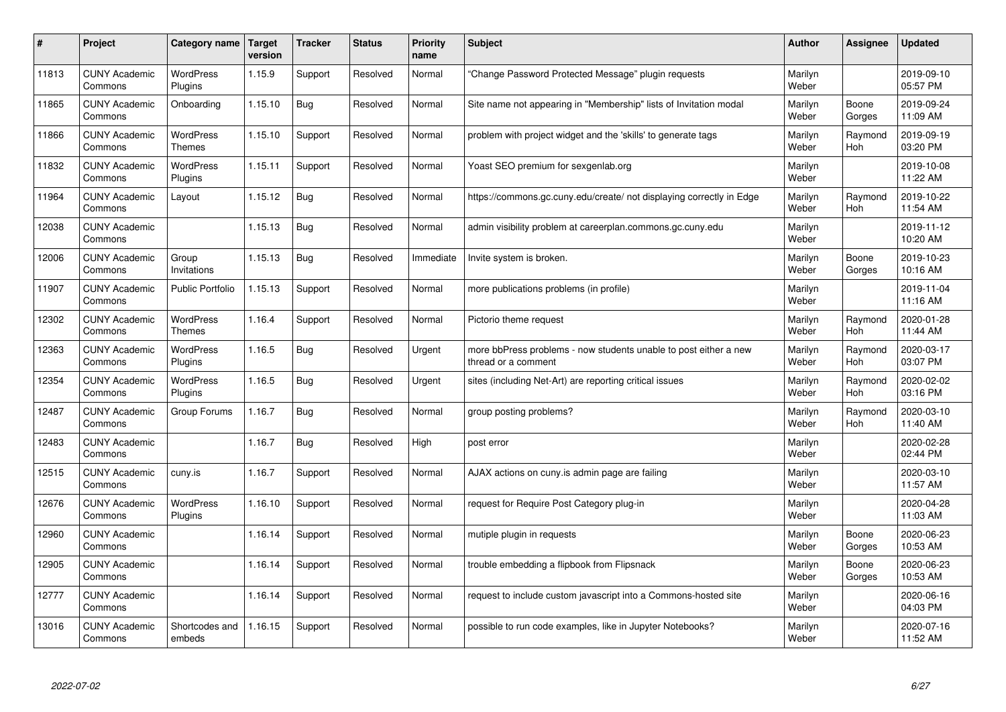| #     | Project                         | Category name                     | <b>Target</b><br>version | <b>Tracker</b> | <b>Status</b> | <b>Priority</b><br>name | <b>Subject</b>                                                                          | <b>Author</b>    | Assignee        | <b>Updated</b>         |
|-------|---------------------------------|-----------------------------------|--------------------------|----------------|---------------|-------------------------|-----------------------------------------------------------------------------------------|------------------|-----------------|------------------------|
| 11813 | <b>CUNY Academic</b><br>Commons | <b>WordPress</b><br>Plugins       | 1.15.9                   | Support        | Resolved      | Normal                  | "Change Password Protected Message" plugin requests                                     | Marilyn<br>Weber |                 | 2019-09-10<br>05:57 PM |
| 11865 | <b>CUNY Academic</b><br>Commons | Onboarding                        | 1.15.10                  | <b>Bug</b>     | Resolved      | Normal                  | Site name not appearing in "Membership" lists of Invitation modal                       | Marilyn<br>Weber | Boone<br>Gorges | 2019-09-24<br>11:09 AM |
| 11866 | <b>CUNY Academic</b><br>Commons | <b>WordPress</b><br><b>Themes</b> | 1.15.10                  | Support        | Resolved      | Normal                  | problem with project widget and the 'skills' to generate tags                           | Marilyn<br>Weber | Raymond<br>Hoh  | 2019-09-19<br>03:20 PM |
| 11832 | <b>CUNY Academic</b><br>Commons | <b>WordPress</b><br>Plugins       | 1.15.11                  | Support        | Resolved      | Normal                  | Yoast SEO premium for sexgenlab.org                                                     | Marilyn<br>Weber |                 | 2019-10-08<br>11:22 AM |
| 11964 | <b>CUNY Academic</b><br>Commons | Layout                            | 1.15.12                  | <b>Bug</b>     | Resolved      | Normal                  | https://commons.gc.cuny.edu/create/ not displaying correctly in Edge                    | Marilyn<br>Weber | Raymond<br>Hoh  | 2019-10-22<br>11:54 AM |
| 12038 | <b>CUNY Academic</b><br>Commons |                                   | 1.15.13                  | <b>Bug</b>     | Resolved      | Normal                  | admin visibility problem at careerplan.commons.gc.cuny.edu                              | Marilyn<br>Weber |                 | 2019-11-12<br>10:20 AM |
| 12006 | <b>CUNY Academic</b><br>Commons | Group<br>Invitations              | 1.15.13                  | <b>Bug</b>     | Resolved      | Immediate               | Invite system is broken.                                                                | Marilyn<br>Weber | Boone<br>Gorges | 2019-10-23<br>10:16 AM |
| 11907 | <b>CUNY Academic</b><br>Commons | <b>Public Portfolio</b>           | 1.15.13                  | Support        | Resolved      | Normal                  | more publications problems (in profile)                                                 | Marilyn<br>Weber |                 | 2019-11-04<br>11:16 AM |
| 12302 | <b>CUNY Academic</b><br>Commons | WordPress<br>Themes               | 1.16.4                   | Support        | Resolved      | Normal                  | Pictorio theme request                                                                  | Marilyn<br>Weber | Raymond<br>Hoh  | 2020-01-28<br>11:44 AM |
| 12363 | <b>CUNY Academic</b><br>Commons | <b>WordPress</b><br>Plugins       | 1.16.5                   | Bug            | Resolved      | Urgent                  | more bbPress problems - now students unable to post either a new<br>thread or a comment | Marilyn<br>Weber | Raymond<br>Hoh  | 2020-03-17<br>03:07 PM |
| 12354 | <b>CUNY Academic</b><br>Commons | WordPress<br>Plugins              | 1.16.5                   | Bug            | Resolved      | Urgent                  | sites (including Net-Art) are reporting critical issues                                 | Marilyn<br>Weber | Raymond<br>Hoh  | 2020-02-02<br>03:16 PM |
| 12487 | <b>CUNY Academic</b><br>Commons | Group Forums                      | 1.16.7                   | <b>Bug</b>     | Resolved      | Normal                  | group posting problems?                                                                 | Marilyn<br>Weber | Raymond<br>Hoh  | 2020-03-10<br>11:40 AM |
| 12483 | <b>CUNY Academic</b><br>Commons |                                   | 1.16.7                   | <b>Bug</b>     | Resolved      | High                    | post error                                                                              | Marilyn<br>Weber |                 | 2020-02-28<br>02:44 PM |
| 12515 | <b>CUNY Academic</b><br>Commons | cuny.is                           | 1.16.7                   | Support        | Resolved      | Normal                  | AJAX actions on cuny is admin page are failing                                          | Marilyn<br>Weber |                 | 2020-03-10<br>11:57 AM |
| 12676 | <b>CUNY Academic</b><br>Commons | WordPress<br>Plugins              | 1.16.10                  | Support        | Resolved      | Normal                  | request for Require Post Category plug-in                                               | Marilyn<br>Weber |                 | 2020-04-28<br>11:03 AM |
| 12960 | <b>CUNY Academic</b><br>Commons |                                   | 1.16.14                  | Support        | Resolved      | Normal                  | mutiple plugin in requests                                                              | Marilyn<br>Weber | Boone<br>Gorges | 2020-06-23<br>10:53 AM |
| 12905 | <b>CUNY Academic</b><br>Commons |                                   | 1.16.14                  | Support        | Resolved      | Normal                  | trouble embedding a flipbook from Flipsnack                                             | Marilyn<br>Weber | Boone<br>Gorges | 2020-06-23<br>10:53 AM |
| 12777 | <b>CUNY Academic</b><br>Commons |                                   | 1.16.14                  | Support        | Resolved      | Normal                  | request to include custom javascript into a Commons-hosted site                         | Marilyn<br>Weber |                 | 2020-06-16<br>04:03 PM |
| 13016 | <b>CUNY Academic</b><br>Commons | Shortcodes and<br>embeds          | 1.16.15                  | Support        | Resolved      | Normal                  | possible to run code examples, like in Jupyter Notebooks?                               | Marilyn<br>Weber |                 | 2020-07-16<br>11:52 AM |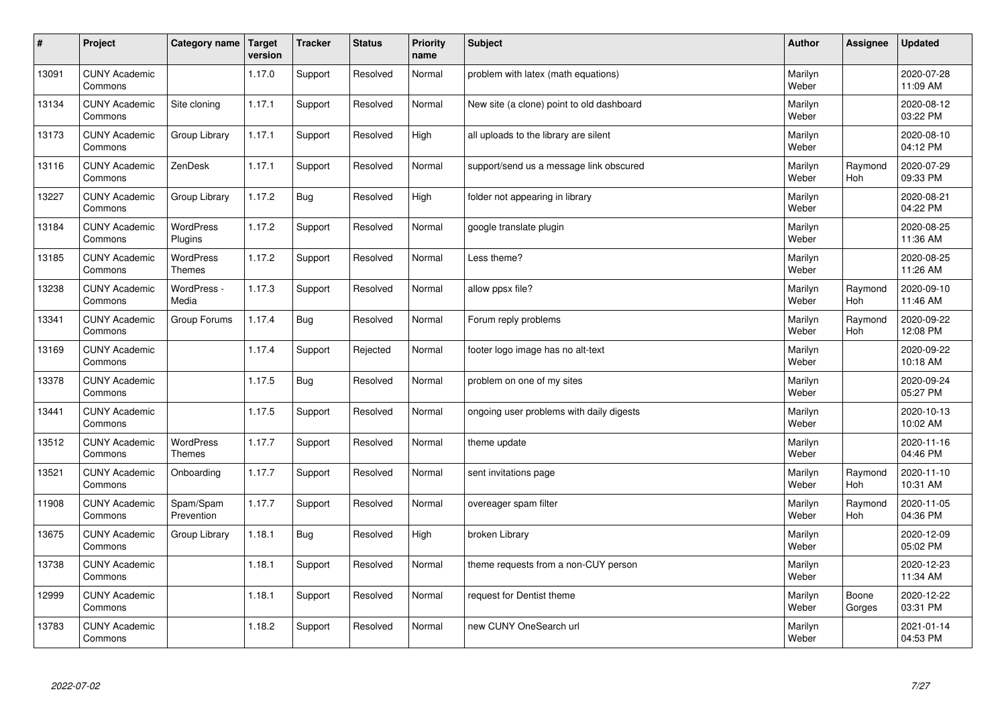| $\sharp$ | Project                         | Category name               | <b>Target</b><br>version | <b>Tracker</b> | <b>Status</b> | <b>Priority</b><br>name | <b>Subject</b>                            | <b>Author</b>    | Assignee        | <b>Updated</b>         |
|----------|---------------------------------|-----------------------------|--------------------------|----------------|---------------|-------------------------|-------------------------------------------|------------------|-----------------|------------------------|
| 13091    | <b>CUNY Academic</b><br>Commons |                             | 1.17.0                   | Support        | Resolved      | Normal                  | problem with latex (math equations)       | Marilyn<br>Weber |                 | 2020-07-28<br>11:09 AM |
| 13134    | <b>CUNY Academic</b><br>Commons | Site cloning                | 1.17.1                   | Support        | Resolved      | Normal                  | New site (a clone) point to old dashboard | Marilyn<br>Weber |                 | 2020-08-12<br>03:22 PM |
| 13173    | <b>CUNY Academic</b><br>Commons | Group Library               | 1.17.1                   | Support        | Resolved      | High                    | all uploads to the library are silent     | Marilyn<br>Weber |                 | 2020-08-10<br>04:12 PM |
| 13116    | <b>CUNY Academic</b><br>Commons | ZenDesk                     | 1.17.1                   | Support        | Resolved      | Normal                  | support/send us a message link obscured   | Marilyn<br>Weber | Raymond<br>Hoh  | 2020-07-29<br>09:33 PM |
| 13227    | <b>CUNY Academic</b><br>Commons | Group Library               | 1.17.2                   | <b>Bug</b>     | Resolved      | High                    | folder not appearing in library           | Marilyn<br>Weber |                 | 2020-08-21<br>04:22 PM |
| 13184    | <b>CUNY Academic</b><br>Commons | <b>WordPress</b><br>Plugins | 1.17.2                   | Support        | Resolved      | Normal                  | google translate plugin                   | Marilyn<br>Weber |                 | 2020-08-25<br>11:36 AM |
| 13185    | <b>CUNY Academic</b><br>Commons | WordPress<br><b>Themes</b>  | 1.17.2                   | Support        | Resolved      | Normal                  | Less theme?                               | Marilyn<br>Weber |                 | 2020-08-25<br>11:26 AM |
| 13238    | <b>CUNY Academic</b><br>Commons | WordPress -<br>Media        | 1.17.3                   | Support        | Resolved      | Normal                  | allow ppsx file?                          | Marilyn<br>Weber | Raymond<br>Hoh  | 2020-09-10<br>11:46 AM |
| 13341    | <b>CUNY Academic</b><br>Commons | Group Forums                | 1.17.4                   | <b>Bug</b>     | Resolved      | Normal                  | Forum reply problems                      | Marilyn<br>Weber | Raymond<br>Hoh  | 2020-09-22<br>12:08 PM |
| 13169    | <b>CUNY Academic</b><br>Commons |                             | 1.17.4                   | Support        | Rejected      | Normal                  | footer logo image has no alt-text         | Marilyn<br>Weber |                 | 2020-09-22<br>10:18 AM |
| 13378    | <b>CUNY Academic</b><br>Commons |                             | 1.17.5                   | <b>Bug</b>     | Resolved      | Normal                  | problem on one of my sites                | Marilyn<br>Weber |                 | 2020-09-24<br>05:27 PM |
| 13441    | <b>CUNY Academic</b><br>Commons |                             | 1.17.5                   | Support        | Resolved      | Normal                  | ongoing user problems with daily digests  | Marilyn<br>Weber |                 | 2020-10-13<br>10:02 AM |
| 13512    | <b>CUNY Academic</b><br>Commons | WordPress<br><b>Themes</b>  | 1.17.7                   | Support        | Resolved      | Normal                  | theme update                              | Marilyn<br>Weber |                 | 2020-11-16<br>04:46 PM |
| 13521    | <b>CUNY Academic</b><br>Commons | Onboarding                  | 1.17.7                   | Support        | Resolved      | Normal                  | sent invitations page                     | Marilyn<br>Weber | Raymond<br>Hoh  | 2020-11-10<br>10:31 AM |
| 11908    | <b>CUNY Academic</b><br>Commons | Spam/Spam<br>Prevention     | 1.17.7                   | Support        | Resolved      | Normal                  | overeager spam filter                     | Marilyn<br>Weber | Raymond<br>Hoh  | 2020-11-05<br>04:36 PM |
| 13675    | <b>CUNY Academic</b><br>Commons | Group Library               | 1.18.1                   | <b>Bug</b>     | Resolved      | High                    | broken Library                            | Marilyn<br>Weber |                 | 2020-12-09<br>05:02 PM |
| 13738    | <b>CUNY Academic</b><br>Commons |                             | 1.18.1                   | Support        | Resolved      | Normal                  | theme requests from a non-CUY person      | Marilyn<br>Weber |                 | 2020-12-23<br>11:34 AM |
| 12999    | <b>CUNY Academic</b><br>Commons |                             | 1.18.1                   | Support        | Resolved      | Normal                  | request for Dentist theme                 | Marilyn<br>Weber | Boone<br>Gorges | 2020-12-22<br>03:31 PM |
| 13783    | <b>CUNY Academic</b><br>Commons |                             | 1.18.2                   | Support        | Resolved      | Normal                  | new CUNY OneSearch url                    | Marilyn<br>Weber |                 | 2021-01-14<br>04:53 PM |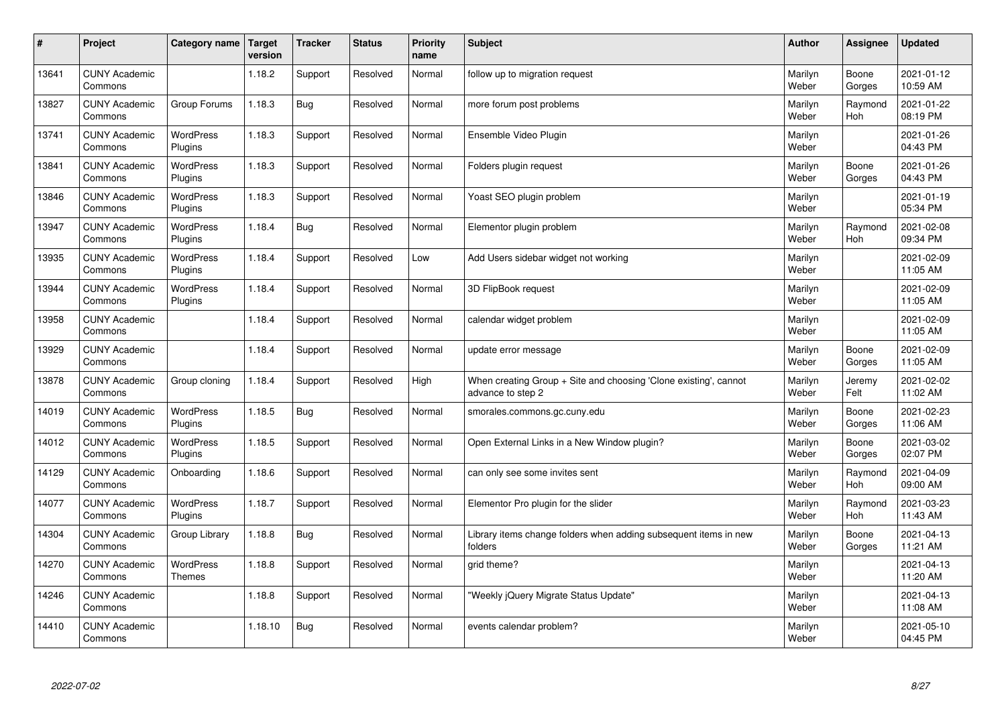| $\sharp$ | Project                         | Category name               | Target<br>version | <b>Tracker</b> | <b>Status</b> | <b>Priority</b><br>name | <b>Subject</b>                                                                        | <b>Author</b>    | <b>Assignee</b>       | <b>Updated</b>         |
|----------|---------------------------------|-----------------------------|-------------------|----------------|---------------|-------------------------|---------------------------------------------------------------------------------------|------------------|-----------------------|------------------------|
| 13641    | <b>CUNY Academic</b><br>Commons |                             | 1.18.2            | Support        | Resolved      | Normal                  | follow up to migration request                                                        | Marilyn<br>Weber | Boone<br>Gorges       | 2021-01-12<br>10:59 AM |
| 13827    | <b>CUNY Academic</b><br>Commons | Group Forums                | 1.18.3            | <b>Bug</b>     | Resolved      | Normal                  | more forum post problems                                                              | Marilyn<br>Weber | Raymond<br><b>Hoh</b> | 2021-01-22<br>08:19 PM |
| 13741    | <b>CUNY Academic</b><br>Commons | WordPress<br>Plugins        | 1.18.3            | Support        | Resolved      | Normal                  | Ensemble Video Plugin                                                                 | Marilyn<br>Weber |                       | 2021-01-26<br>04:43 PM |
| 13841    | <b>CUNY Academic</b><br>Commons | <b>WordPress</b><br>Plugins | 1.18.3            | Support        | Resolved      | Normal                  | Folders plugin request                                                                | Marilyn<br>Weber | Boone<br>Gorges       | 2021-01-26<br>04:43 PM |
| 13846    | <b>CUNY Academic</b><br>Commons | WordPress<br>Plugins        | 1.18.3            | Support        | Resolved      | Normal                  | Yoast SEO plugin problem                                                              | Marilyn<br>Weber |                       | 2021-01-19<br>05:34 PM |
| 13947    | <b>CUNY Academic</b><br>Commons | WordPress<br>Plugins        | 1.18.4            | <b>Bug</b>     | Resolved      | Normal                  | Elementor plugin problem                                                              | Marilyn<br>Weber | Raymond<br>Hoh        | 2021-02-08<br>09:34 PM |
| 13935    | <b>CUNY Academic</b><br>Commons | WordPress<br>Plugins        | 1.18.4            | Support        | Resolved      | Low                     | Add Users sidebar widget not working                                                  | Marilyn<br>Weber |                       | 2021-02-09<br>11:05 AM |
| 13944    | <b>CUNY Academic</b><br>Commons | WordPress<br>Plugins        | 1.18.4            | Support        | Resolved      | Normal                  | 3D FlipBook request                                                                   | Marilyn<br>Weber |                       | 2021-02-09<br>11:05 AM |
| 13958    | <b>CUNY Academic</b><br>Commons |                             | 1.18.4            | Support        | Resolved      | Normal                  | calendar widget problem                                                               | Marilyn<br>Weber |                       | 2021-02-09<br>11:05 AM |
| 13929    | <b>CUNY Academic</b><br>Commons |                             | 1.18.4            | Support        | Resolved      | Normal                  | update error message                                                                  | Marilyn<br>Weber | Boone<br>Gorges       | 2021-02-09<br>11:05 AM |
| 13878    | <b>CUNY Academic</b><br>Commons | Group cloning               | 1.18.4            | Support        | Resolved      | High                    | When creating Group + Site and choosing 'Clone existing', cannot<br>advance to step 2 | Marilyn<br>Weber | Jeremy<br>Felt        | 2021-02-02<br>11:02 AM |
| 14019    | <b>CUNY Academic</b><br>Commons | <b>WordPress</b><br>Plugins | 1.18.5            | <b>Bug</b>     | Resolved      | Normal                  | smorales.commons.gc.cuny.edu                                                          | Marilyn<br>Weber | Boone<br>Gorges       | 2021-02-23<br>11:06 AM |
| 14012    | <b>CUNY Academic</b><br>Commons | WordPress<br>Plugins        | 1.18.5            | Support        | Resolved      | Normal                  | Open External Links in a New Window plugin?                                           | Marilyn<br>Weber | Boone<br>Gorges       | 2021-03-02<br>02:07 PM |
| 14129    | <b>CUNY Academic</b><br>Commons | Onboarding                  | 1.18.6            | Support        | Resolved      | Normal                  | can only see some invites sent                                                        | Marilyn<br>Weber | Raymond<br><b>Hoh</b> | 2021-04-09<br>09:00 AM |
| 14077    | <b>CUNY Academic</b><br>Commons | WordPress<br>Plugins        | 1.18.7            | Support        | Resolved      | Normal                  | Elementor Pro plugin for the slider                                                   | Marilyn<br>Weber | Raymond<br>Hoh        | 2021-03-23<br>11:43 AM |
| 14304    | <b>CUNY Academic</b><br>Commons | Group Library               | 1.18.8            | <b>Bug</b>     | Resolved      | Normal                  | Library items change folders when adding subsequent items in new<br>folders           | Marilyn<br>Weber | Boone<br>Gorges       | 2021-04-13<br>11:21 AM |
| 14270    | <b>CUNY Academic</b><br>Commons | WordPress<br>Themes         | 1.18.8            | Support        | Resolved      | Normal                  | grid theme?                                                                           | Marilyn<br>Weber |                       | 2021-04-13<br>11:20 AM |
| 14246    | <b>CUNY Academic</b><br>Commons |                             | 1.18.8            | Support        | Resolved      | Normal                  | "Weekly jQuery Migrate Status Update"                                                 | Marilyn<br>Weber |                       | 2021-04-13<br>11:08 AM |
| 14410    | <b>CUNY Academic</b><br>Commons |                             | 1.18.10           | <b>Bug</b>     | Resolved      | Normal                  | events calendar problem?                                                              | Marilyn<br>Weber |                       | 2021-05-10<br>04:45 PM |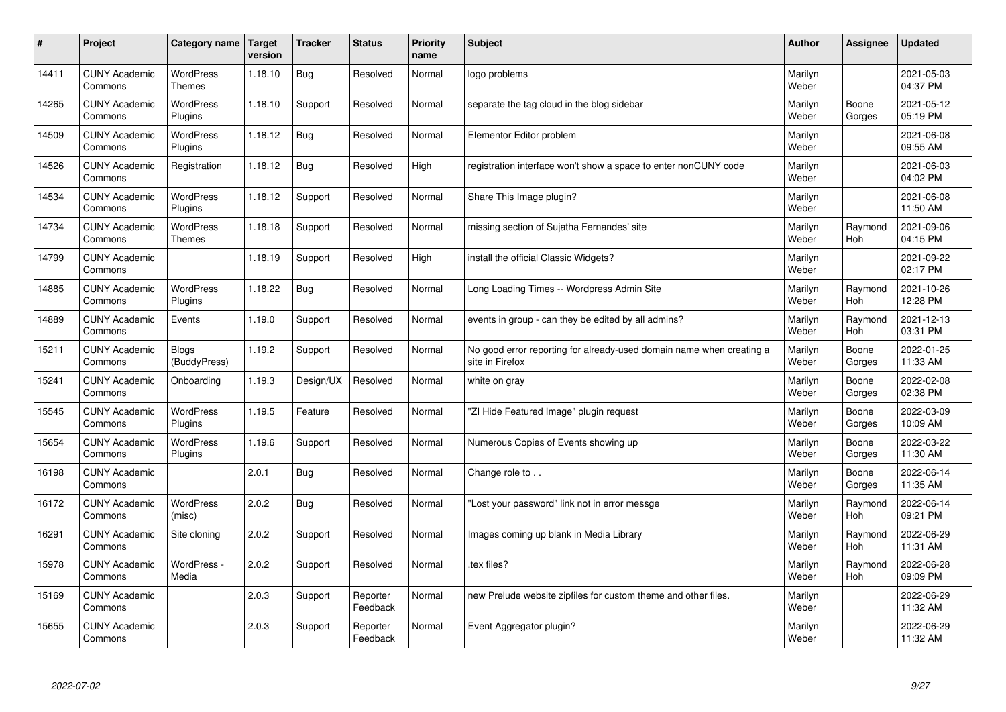| #     | Project                         | Category name                | <b>Target</b><br>version | <b>Tracker</b> | <b>Status</b>        | <b>Priority</b><br>name | <b>Subject</b>                                                                          | <b>Author</b>    | <b>Assignee</b> | <b>Updated</b>         |
|-------|---------------------------------|------------------------------|--------------------------|----------------|----------------------|-------------------------|-----------------------------------------------------------------------------------------|------------------|-----------------|------------------------|
| 14411 | <b>CUNY Academic</b><br>Commons | WordPress<br>Themes          | 1.18.10                  | <b>Bug</b>     | Resolved             | Normal                  | logo problems                                                                           | Marilyn<br>Weber |                 | 2021-05-03<br>04:37 PM |
| 14265 | <b>CUNY Academic</b><br>Commons | <b>WordPress</b><br>Plugins  | 1.18.10                  | Support        | Resolved             | Normal                  | separate the tag cloud in the blog sidebar                                              | Marilyn<br>Weber | Boone<br>Gorges | 2021-05-12<br>05:19 PM |
| 14509 | <b>CUNY Academic</b><br>Commons | <b>WordPress</b><br>Plugins  | 1.18.12                  | <b>Bug</b>     | Resolved             | Normal                  | Elementor Editor problem                                                                | Marilyn<br>Weber |                 | 2021-06-08<br>09:55 AM |
| 14526 | <b>CUNY Academic</b><br>Commons | Registration                 | 1.18.12                  | <b>Bug</b>     | Resolved             | High                    | registration interface won't show a space to enter nonCUNY code                         | Marilyn<br>Weber |                 | 2021-06-03<br>04:02 PM |
| 14534 | <b>CUNY Academic</b><br>Commons | <b>WordPress</b><br>Plugins  | 1.18.12                  | Support        | Resolved             | Normal                  | Share This Image plugin?                                                                | Marilyn<br>Weber |                 | 2021-06-08<br>11:50 AM |
| 14734 | <b>CUNY Academic</b><br>Commons | WordPress<br><b>Themes</b>   | 1.18.18                  | Support        | Resolved             | Normal                  | missing section of Sujatha Fernandes' site                                              | Marilyn<br>Weber | Raymond<br>Hoh  | 2021-09-06<br>04:15 PM |
| 14799 | <b>CUNY Academic</b><br>Commons |                              | 1.18.19                  | Support        | Resolved             | High                    | install the official Classic Widgets?                                                   | Marilyn<br>Weber |                 | 2021-09-22<br>02:17 PM |
| 14885 | <b>CUNY Academic</b><br>Commons | <b>WordPress</b><br>Plugins  | 1.18.22                  | <b>Bug</b>     | Resolved             | Normal                  | Long Loading Times -- Wordpress Admin Site                                              | Marilyn<br>Weber | Raymond<br>Hoh  | 2021-10-26<br>12:28 PM |
| 14889 | <b>CUNY Academic</b><br>Commons | Events                       | 1.19.0                   | Support        | Resolved             | Normal                  | events in group - can they be edited by all admins?                                     | Marilyn<br>Weber | Raymond<br>Hoh  | 2021-12-13<br>03:31 PM |
| 15211 | <b>CUNY Academic</b><br>Commons | <b>Blogs</b><br>(BuddyPress) | 1.19.2                   | Support        | Resolved             | Normal                  | No good error reporting for already-used domain name when creating a<br>site in Firefox | Marilyn<br>Weber | Boone<br>Gorges | 2022-01-25<br>11:33 AM |
| 15241 | <b>CUNY Academic</b><br>Commons | Onboarding                   | 1.19.3                   | Design/UX      | Resolved             | Normal                  | white on gray                                                                           | Marilyn<br>Weber | Boone<br>Gorges | 2022-02-08<br>02:38 PM |
| 15545 | <b>CUNY Academic</b><br>Commons | WordPress<br>Plugins         | 1.19.5                   | Feature        | Resolved             | Normal                  | "ZI Hide Featured Image" plugin request                                                 | Marilyn<br>Weber | Boone<br>Gorges | 2022-03-09<br>10:09 AM |
| 15654 | <b>CUNY Academic</b><br>Commons | WordPress<br>Plugins         | 1.19.6                   | Support        | Resolved             | Normal                  | Numerous Copies of Events showing up                                                    | Marilyn<br>Weber | Boone<br>Gorges | 2022-03-22<br>11:30 AM |
| 16198 | <b>CUNY Academic</b><br>Commons |                              | 2.0.1                    | Bug            | Resolved             | Normal                  | Change role to                                                                          | Marilyn<br>Weber | Boone<br>Gorges | 2022-06-14<br>11:35 AM |
| 16172 | <b>CUNY Academic</b><br>Commons | <b>WordPress</b><br>(misc)   | 2.0.2                    | <b>Bug</b>     | Resolved             | Normal                  | "Lost your password" link not in error messge                                           | Marilyn<br>Weber | Raymond<br>Hoh  | 2022-06-14<br>09:21 PM |
| 16291 | <b>CUNY Academic</b><br>Commons | Site cloning                 | 2.0.2                    | Support        | Resolved             | Normal                  | Images coming up blank in Media Library                                                 | Marilyn<br>Weber | Raymond<br>Hoh  | 2022-06-29<br>11:31 AM |
| 15978 | <b>CUNY Academic</b><br>Commons | WordPress -<br>Media         | 2.0.2                    | Support        | Resolved             | Normal                  | tex files?                                                                              | Marilyn<br>Weber | Raymond<br>Hoh  | 2022-06-28<br>09:09 PM |
| 15169 | <b>CUNY Academic</b><br>Commons |                              | 2.0.3                    | Support        | Reporter<br>Feedback | Normal                  | new Prelude website zipfiles for custom theme and other files.                          | Marilyn<br>Weber |                 | 2022-06-29<br>11:32 AM |
| 15655 | <b>CUNY Academic</b><br>Commons |                              | 2.0.3                    | Support        | Reporter<br>Feedback | Normal                  | Event Aggregator plugin?                                                                | Marilyn<br>Weber |                 | 2022-06-29<br>11:32 AM |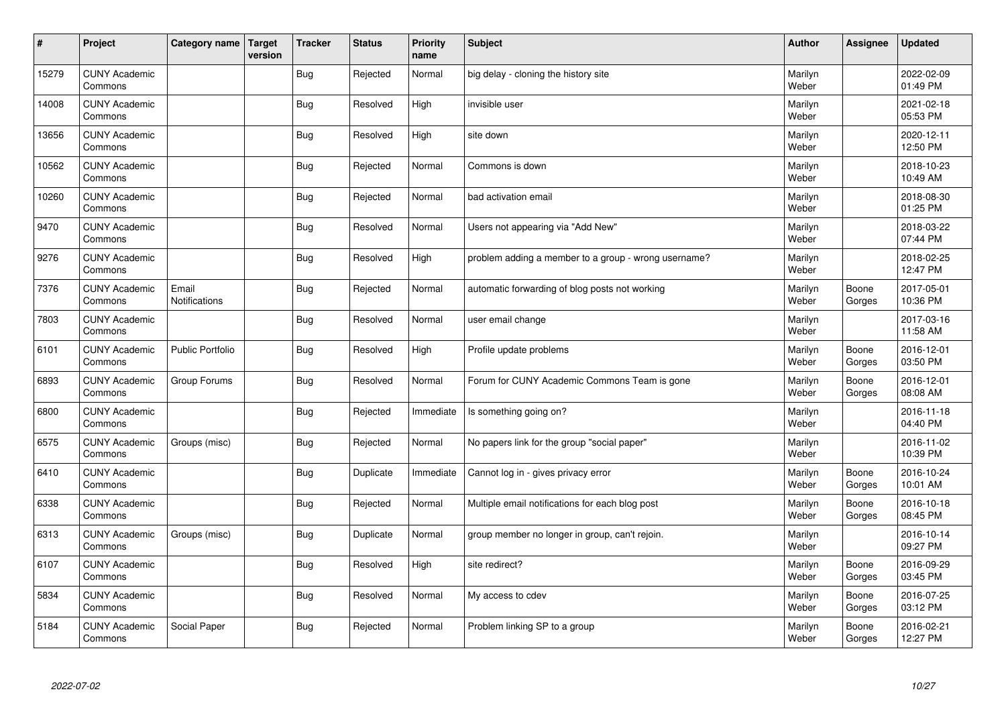| $\sharp$ | Project                         | Category name           | <b>Target</b><br>version | <b>Tracker</b> | <b>Status</b> | <b>Priority</b><br>name | <b>Subject</b>                                       | <b>Author</b>    | Assignee        | <b>Updated</b>         |
|----------|---------------------------------|-------------------------|--------------------------|----------------|---------------|-------------------------|------------------------------------------------------|------------------|-----------------|------------------------|
| 15279    | <b>CUNY Academic</b><br>Commons |                         |                          | <b>Bug</b>     | Rejected      | Normal                  | big delay - cloning the history site                 | Marilyn<br>Weber |                 | 2022-02-09<br>01:49 PM |
| 14008    | <b>CUNY Academic</b><br>Commons |                         |                          | Bug            | Resolved      | High                    | invisible user                                       | Marilyn<br>Weber |                 | 2021-02-18<br>05:53 PM |
| 13656    | <b>CUNY Academic</b><br>Commons |                         |                          | <b>Bug</b>     | Resolved      | High                    | site down                                            | Marilyn<br>Weber |                 | 2020-12-11<br>12:50 PM |
| 10562    | <b>CUNY Academic</b><br>Commons |                         |                          | <b>Bug</b>     | Rejected      | Normal                  | Commons is down                                      | Marilyn<br>Weber |                 | 2018-10-23<br>10:49 AM |
| 10260    | <b>CUNY Academic</b><br>Commons |                         |                          | <b>Bug</b>     | Rejected      | Normal                  | bad activation email                                 | Marilyn<br>Weber |                 | 2018-08-30<br>01:25 PM |
| 9470     | <b>CUNY Academic</b><br>Commons |                         |                          | <b>Bug</b>     | Resolved      | Normal                  | Users not appearing via "Add New"                    | Marilyn<br>Weber |                 | 2018-03-22<br>07:44 PM |
| 9276     | <b>CUNY Academic</b><br>Commons |                         |                          | Bug            | Resolved      | High                    | problem adding a member to a group - wrong username? | Marilyn<br>Weber |                 | 2018-02-25<br>12:47 PM |
| 7376     | <b>CUNY Academic</b><br>Commons | Email<br>Notifications  |                          | <b>Bug</b>     | Rejected      | Normal                  | automatic forwarding of blog posts not working       | Marilyn<br>Weber | Boone<br>Gorges | 2017-05-01<br>10:36 PM |
| 7803     | <b>CUNY Academic</b><br>Commons |                         |                          | <b>Bug</b>     | Resolved      | Normal                  | user email change                                    | Marilyn<br>Weber |                 | 2017-03-16<br>11:58 AM |
| 6101     | <b>CUNY Academic</b><br>Commons | <b>Public Portfolio</b> |                          | <b>Bug</b>     | Resolved      | High                    | Profile update problems                              | Marilyn<br>Weber | Boone<br>Gorges | 2016-12-01<br>03:50 PM |
| 6893     | <b>CUNY Academic</b><br>Commons | Group Forums            |                          | <b>Bug</b>     | Resolved      | Normal                  | Forum for CUNY Academic Commons Team is gone         | Marilyn<br>Weber | Boone<br>Gorges | 2016-12-01<br>08:08 AM |
| 6800     | <b>CUNY Academic</b><br>Commons |                         |                          | <b>Bug</b>     | Rejected      | Immediate               | Is something going on?                               | Marilyn<br>Weber |                 | 2016-11-18<br>04:40 PM |
| 6575     | <b>CUNY Academic</b><br>Commons | Groups (misc)           |                          | <b>Bug</b>     | Rejected      | Normal                  | No papers link for the group "social paper"          | Marilyn<br>Weber |                 | 2016-11-02<br>10:39 PM |
| 6410     | <b>CUNY Academic</b><br>Commons |                         |                          | <b>Bug</b>     | Duplicate     | Immediate               | Cannot log in - gives privacy error                  | Marilyn<br>Weber | Boone<br>Gorges | 2016-10-24<br>10:01 AM |
| 6338     | <b>CUNY Academic</b><br>Commons |                         |                          | <b>Bug</b>     | Rejected      | Normal                  | Multiple email notifications for each blog post      | Marilyn<br>Weber | Boone<br>Gorges | 2016-10-18<br>08:45 PM |
| 6313     | <b>CUNY Academic</b><br>Commons | Groups (misc)           |                          | <b>Bug</b>     | Duplicate     | Normal                  | group member no longer in group, can't rejoin.       | Marilyn<br>Weber |                 | 2016-10-14<br>09:27 PM |
| 6107     | <b>CUNY Academic</b><br>Commons |                         |                          | <b>Bug</b>     | Resolved      | High                    | site redirect?                                       | Marilyn<br>Weber | Boone<br>Gorges | 2016-09-29<br>03:45 PM |
| 5834     | <b>CUNY Academic</b><br>Commons |                         |                          | <b>Bug</b>     | Resolved      | Normal                  | My access to cdev                                    | Marilyn<br>Weber | Boone<br>Gorges | 2016-07-25<br>03:12 PM |
| 5184     | <b>CUNY Academic</b><br>Commons | Social Paper            |                          | <b>Bug</b>     | Rejected      | Normal                  | Problem linking SP to a group                        | Marilyn<br>Weber | Boone<br>Gorges | 2016-02-21<br>12:27 PM |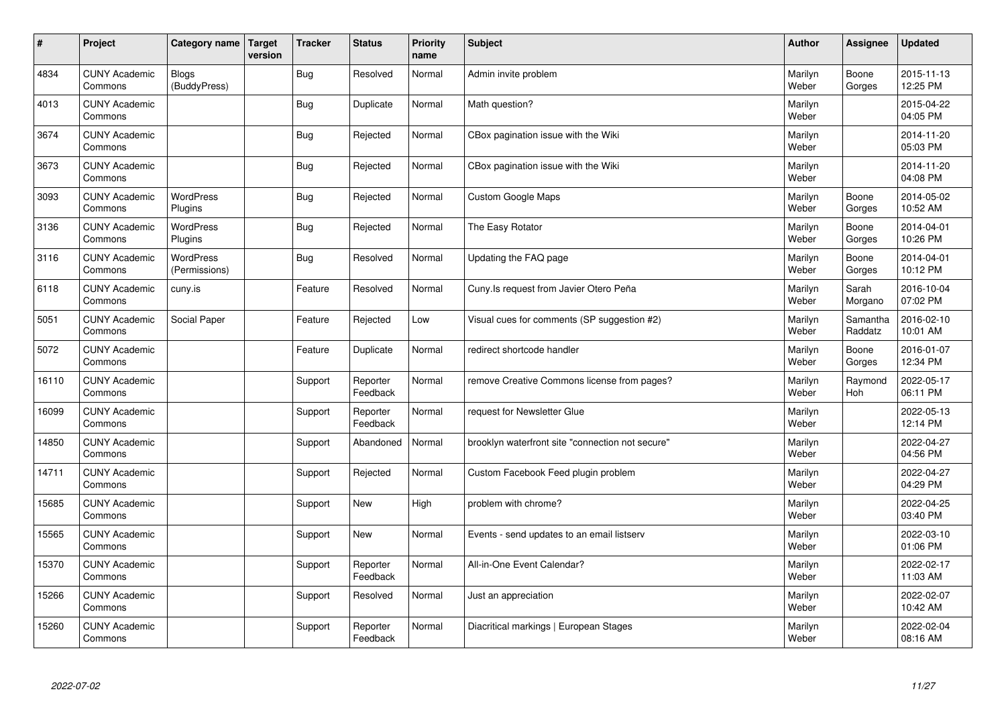| $\sharp$ | Project                         | Category name                | <b>Target</b><br>version | <b>Tracker</b> | <b>Status</b>        | Priority<br>name | <b>Subject</b>                                   | <b>Author</b>    | <b>Assignee</b>     | <b>Updated</b>         |
|----------|---------------------------------|------------------------------|--------------------------|----------------|----------------------|------------------|--------------------------------------------------|------------------|---------------------|------------------------|
| 4834     | <b>CUNY Academic</b><br>Commons | <b>Blogs</b><br>(BuddyPress) |                          | <b>Bug</b>     | Resolved             | Normal           | Admin invite problem                             | Marilyn<br>Weber | Boone<br>Gorges     | 2015-11-13<br>12:25 PM |
| 4013     | <b>CUNY Academic</b><br>Commons |                              |                          | <b>Bug</b>     | Duplicate            | Normal           | Math question?                                   | Marilyn<br>Weber |                     | 2015-04-22<br>04:05 PM |
| 3674     | <b>CUNY Academic</b><br>Commons |                              |                          | <b>Bug</b>     | Rejected             | Normal           | CBox pagination issue with the Wiki              | Marilyn<br>Weber |                     | 2014-11-20<br>05:03 PM |
| 3673     | <b>CUNY Academic</b><br>Commons |                              |                          | <b>Bug</b>     | Rejected             | Normal           | CBox pagination issue with the Wiki              | Marilyn<br>Weber |                     | 2014-11-20<br>04:08 PM |
| 3093     | <b>CUNY Academic</b><br>Commons | <b>WordPress</b><br>Plugins  |                          | <b>Bug</b>     | Rejected             | Normal           | <b>Custom Google Maps</b>                        | Marilyn<br>Weber | Boone<br>Gorges     | 2014-05-02<br>10:52 AM |
| 3136     | <b>CUNY Academic</b><br>Commons | WordPress<br>Plugins         |                          | <b>Bug</b>     | Rejected             | Normal           | The Easy Rotator                                 | Marilyn<br>Weber | Boone<br>Gorges     | 2014-04-01<br>10:26 PM |
| 3116     | <b>CUNY Academic</b><br>Commons | WordPress<br>(Permissions)   |                          | <b>Bug</b>     | Resolved             | Normal           | Updating the FAQ page                            | Marilyn<br>Weber | Boone<br>Gorges     | 2014-04-01<br>10:12 PM |
| 6118     | <b>CUNY Academic</b><br>Commons | cuny.is                      |                          | Feature        | Resolved             | Normal           | Cuny. Is request from Javier Otero Peña          | Marilyn<br>Weber | Sarah<br>Morgano    | 2016-10-04<br>07:02 PM |
| 5051     | <b>CUNY Academic</b><br>Commons | Social Paper                 |                          | Feature        | Rejected             | Low              | Visual cues for comments (SP suggestion #2)      | Marilyn<br>Weber | Samantha<br>Raddatz | 2016-02-10<br>10:01 AM |
| 5072     | <b>CUNY Academic</b><br>Commons |                              |                          | Feature        | Duplicate            | Normal           | redirect shortcode handler                       | Marilyn<br>Weber | Boone<br>Gorges     | 2016-01-07<br>12:34 PM |
| 16110    | <b>CUNY Academic</b><br>Commons |                              |                          | Support        | Reporter<br>Feedback | Normal           | remove Creative Commons license from pages?      | Marilyn<br>Weber | Raymond<br>Hoh      | 2022-05-17<br>06:11 PM |
| 16099    | <b>CUNY Academic</b><br>Commons |                              |                          | Support        | Reporter<br>Feedback | Normal           | request for Newsletter Glue                      | Marilyn<br>Weber |                     | 2022-05-13<br>12:14 PM |
| 14850    | <b>CUNY Academic</b><br>Commons |                              |                          | Support        | Abandoned            | Normal           | brooklyn waterfront site "connection not secure" | Marilyn<br>Weber |                     | 2022-04-27<br>04:56 PM |
| 14711    | <b>CUNY Academic</b><br>Commons |                              |                          | Support        | Rejected             | Normal           | Custom Facebook Feed plugin problem              | Marilyn<br>Weber |                     | 2022-04-27<br>04:29 PM |
| 15685    | <b>CUNY Academic</b><br>Commons |                              |                          | Support        | New                  | High             | problem with chrome?                             | Marilyn<br>Weber |                     | 2022-04-25<br>03:40 PM |
| 15565    | <b>CUNY Academic</b><br>Commons |                              |                          | Support        | <b>New</b>           | Normal           | Events - send updates to an email listserv       | Marilyn<br>Weber |                     | 2022-03-10<br>01:06 PM |
| 15370    | <b>CUNY Academic</b><br>Commons |                              |                          | Support        | Reporter<br>Feedback | Normal           | All-in-One Event Calendar?                       | Marilyn<br>Weber |                     | 2022-02-17<br>11:03 AM |
| 15266    | <b>CUNY Academic</b><br>Commons |                              |                          | Support        | Resolved             | Normal           | Just an appreciation                             | Marilyn<br>Weber |                     | 2022-02-07<br>10:42 AM |
| 15260    | <b>CUNY Academic</b><br>Commons |                              |                          | Support        | Reporter<br>Feedback | Normal           | Diacritical markings   European Stages           | Marilyn<br>Weber |                     | 2022-02-04<br>08:16 AM |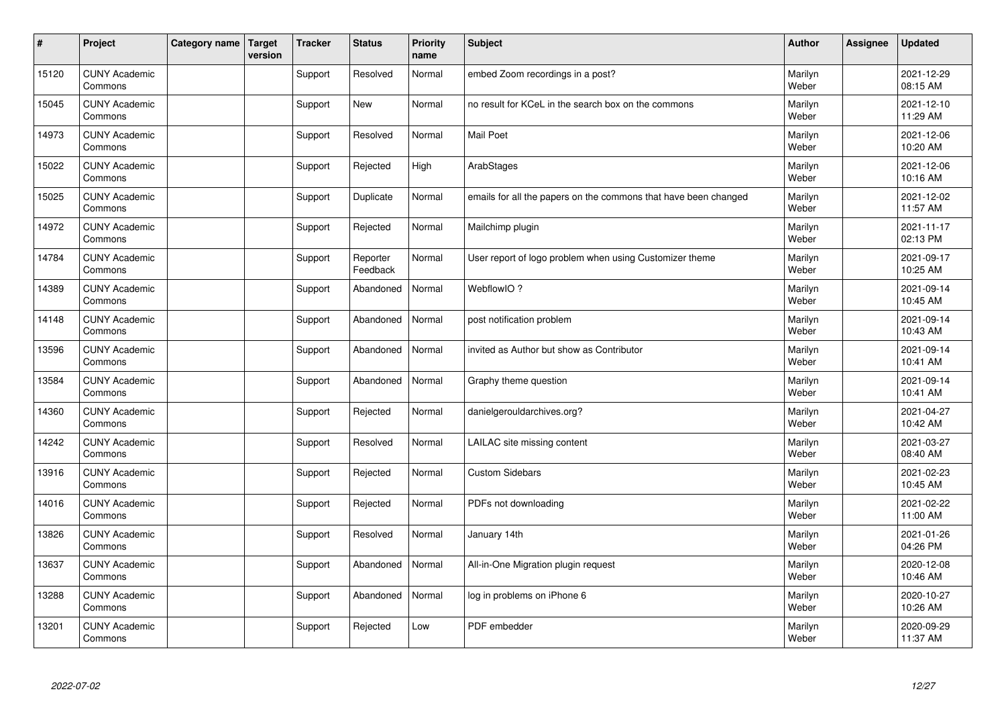| #     | Project                         | Category name | Target<br>version | <b>Tracker</b> | <b>Status</b>        | Priority<br>name | <b>Subject</b>                                                  | <b>Author</b>    | <b>Assignee</b> | <b>Updated</b>         |
|-------|---------------------------------|---------------|-------------------|----------------|----------------------|------------------|-----------------------------------------------------------------|------------------|-----------------|------------------------|
| 15120 | <b>CUNY Academic</b><br>Commons |               |                   | Support        | Resolved             | Normal           | embed Zoom recordings in a post?                                | Marilyn<br>Weber |                 | 2021-12-29<br>08:15 AM |
| 15045 | <b>CUNY Academic</b><br>Commons |               |                   | Support        | New                  | Normal           | no result for KCeL in the search box on the commons             | Marilyn<br>Weber |                 | 2021-12-10<br>11:29 AM |
| 14973 | <b>CUNY Academic</b><br>Commons |               |                   | Support        | Resolved             | Normal           | <b>Mail Poet</b>                                                | Marilyn<br>Weber |                 | 2021-12-06<br>10:20 AM |
| 15022 | <b>CUNY Academic</b><br>Commons |               |                   | Support        | Rejected             | High             | ArabStages                                                      | Marilyn<br>Weber |                 | 2021-12-06<br>10:16 AM |
| 15025 | <b>CUNY Academic</b><br>Commons |               |                   | Support        | Duplicate            | Normal           | emails for all the papers on the commons that have been changed | Marilyn<br>Weber |                 | 2021-12-02<br>11:57 AM |
| 14972 | <b>CUNY Academic</b><br>Commons |               |                   | Support        | Rejected             | Normal           | Mailchimp plugin                                                | Marilyn<br>Weber |                 | 2021-11-17<br>02:13 PM |
| 14784 | <b>CUNY Academic</b><br>Commons |               |                   | Support        | Reporter<br>Feedback | Normal           | User report of logo problem when using Customizer theme         | Marilyn<br>Weber |                 | 2021-09-17<br>10:25 AM |
| 14389 | <b>CUNY Academic</b><br>Commons |               |                   | Support        | Abandoned            | Normal           | WebflowIO?                                                      | Marilyn<br>Weber |                 | 2021-09-14<br>10:45 AM |
| 14148 | <b>CUNY Academic</b><br>Commons |               |                   | Support        | Abandoned            | Normal           | post notification problem                                       | Marilyn<br>Weber |                 | 2021-09-14<br>10:43 AM |
| 13596 | <b>CUNY Academic</b><br>Commons |               |                   | Support        | Abandoned            | Normal           | invited as Author but show as Contributor                       | Marilyn<br>Weber |                 | 2021-09-14<br>10:41 AM |
| 13584 | <b>CUNY Academic</b><br>Commons |               |                   | Support        | Abandoned            | Normal           | Graphy theme question                                           | Marilyn<br>Weber |                 | 2021-09-14<br>10:41 AM |
| 14360 | <b>CUNY Academic</b><br>Commons |               |                   | Support        | Rejected             | Normal           | danielgerouldarchives.org?                                      | Marilyn<br>Weber |                 | 2021-04-27<br>10:42 AM |
| 14242 | <b>CUNY Academic</b><br>Commons |               |                   | Support        | Resolved             | Normal           | LAILAC site missing content                                     | Marilyn<br>Weber |                 | 2021-03-27<br>08:40 AM |
| 13916 | <b>CUNY Academic</b><br>Commons |               |                   | Support        | Rejected             | Normal           | <b>Custom Sidebars</b>                                          | Marilyn<br>Weber |                 | 2021-02-23<br>10:45 AM |
| 14016 | <b>CUNY Academic</b><br>Commons |               |                   | Support        | Rejected             | Normal           | PDFs not downloading                                            | Marilyn<br>Weber |                 | 2021-02-22<br>11:00 AM |
| 13826 | <b>CUNY Academic</b><br>Commons |               |                   | Support        | Resolved             | Normal           | January 14th                                                    | Marilyn<br>Weber |                 | 2021-01-26<br>04:26 PM |
| 13637 | <b>CUNY Academic</b><br>Commons |               |                   | Support        | Abandoned            | Normal           | All-in-One Migration plugin request                             | Marilyn<br>Weber |                 | 2020-12-08<br>10:46 AM |
| 13288 | <b>CUNY Academic</b><br>Commons |               |                   | Support        | Abandoned            | Normal           | log in problems on iPhone 6                                     | Marilyn<br>Weber |                 | 2020-10-27<br>10:26 AM |
| 13201 | <b>CUNY Academic</b><br>Commons |               |                   | Support        | Rejected             | Low              | PDF embedder                                                    | Marilyn<br>Weber |                 | 2020-09-29<br>11:37 AM |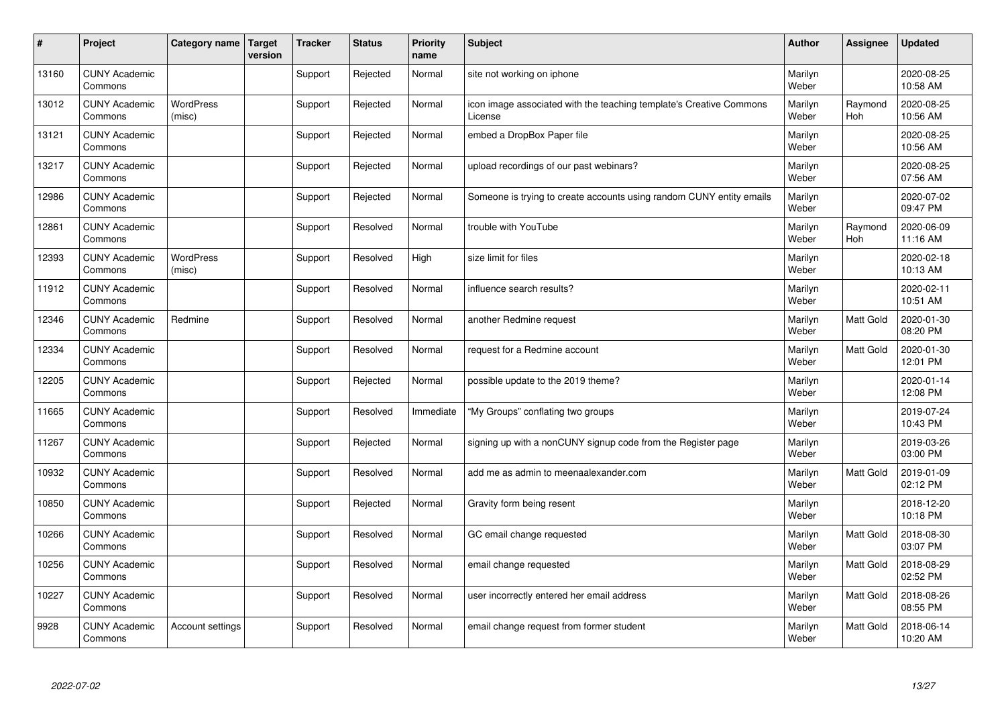| $\vert$ # | Project                         | Category name              | <b>Target</b><br>version | Tracker | <b>Status</b> | <b>Priority</b><br>name | <b>Subject</b>                                                                 | <b>Author</b>    | <b>Assignee</b> | <b>Updated</b>         |
|-----------|---------------------------------|----------------------------|--------------------------|---------|---------------|-------------------------|--------------------------------------------------------------------------------|------------------|-----------------|------------------------|
| 13160     | <b>CUNY Academic</b><br>Commons |                            |                          | Support | Rejected      | Normal                  | site not working on iphone                                                     | Marilyn<br>Weber |                 | 2020-08-25<br>10:58 AM |
| 13012     | <b>CUNY Academic</b><br>Commons | <b>WordPress</b><br>(misc) |                          | Support | Rejected      | Normal                  | icon image associated with the teaching template's Creative Commons<br>License | Marilyn<br>Weber | Raymond<br>Hoh  | 2020-08-25<br>10:56 AM |
| 13121     | <b>CUNY Academic</b><br>Commons |                            |                          | Support | Rejected      | Normal                  | embed a DropBox Paper file                                                     | Marilyn<br>Weber |                 | 2020-08-25<br>10:56 AM |
| 13217     | <b>CUNY Academic</b><br>Commons |                            |                          | Support | Rejected      | Normal                  | upload recordings of our past webinars?                                        | Marilyn<br>Weber |                 | 2020-08-25<br>07:56 AM |
| 12986     | <b>CUNY Academic</b><br>Commons |                            |                          | Support | Rejected      | Normal                  | Someone is trying to create accounts using random CUNY entity emails           | Marilyn<br>Weber |                 | 2020-07-02<br>09:47 PM |
| 12861     | <b>CUNY Academic</b><br>Commons |                            |                          | Support | Resolved      | Normal                  | trouble with YouTube                                                           | Marilyn<br>Weber | Raymond<br>Hoh  | 2020-06-09<br>11:16 AM |
| 12393     | <b>CUNY Academic</b><br>Commons | WordPress<br>(misc)        |                          | Support | Resolved      | High                    | size limit for files                                                           | Marilyn<br>Weber |                 | 2020-02-18<br>10:13 AM |
| 11912     | <b>CUNY Academic</b><br>Commons |                            |                          | Support | Resolved      | Normal                  | influence search results?                                                      | Marilyn<br>Weber |                 | 2020-02-11<br>10:51 AM |
| 12346     | <b>CUNY Academic</b><br>Commons | Redmine                    |                          | Support | Resolved      | Normal                  | another Redmine request                                                        | Marilyn<br>Weber | Matt Gold       | 2020-01-30<br>08:20 PM |
| 12334     | <b>CUNY Academic</b><br>Commons |                            |                          | Support | Resolved      | Normal                  | request for a Redmine account                                                  | Marilyn<br>Weber | Matt Gold       | 2020-01-30<br>12:01 PM |
| 12205     | <b>CUNY Academic</b><br>Commons |                            |                          | Support | Rejected      | Normal                  | possible update to the 2019 theme?                                             | Marilyn<br>Weber |                 | 2020-01-14<br>12:08 PM |
| 11665     | <b>CUNY Academic</b><br>Commons |                            |                          | Support | Resolved      | Immediate               | "My Groups" conflating two groups                                              | Marilyn<br>Weber |                 | 2019-07-24<br>10:43 PM |
| 11267     | <b>CUNY Academic</b><br>Commons |                            |                          | Support | Rejected      | Normal                  | signing up with a nonCUNY signup code from the Register page                   | Marilyn<br>Weber |                 | 2019-03-26<br>03:00 PM |
| 10932     | <b>CUNY Academic</b><br>Commons |                            |                          | Support | Resolved      | Normal                  | add me as admin to meenaalexander.com                                          | Marilyn<br>Weber | Matt Gold       | 2019-01-09<br>02:12 PM |
| 10850     | <b>CUNY Academic</b><br>Commons |                            |                          | Support | Rejected      | Normal                  | Gravity form being resent                                                      | Marilyn<br>Weber |                 | 2018-12-20<br>10:18 PM |
| 10266     | <b>CUNY Academic</b><br>Commons |                            |                          | Support | Resolved      | Normal                  | GC email change requested                                                      | Marilyn<br>Weber | Matt Gold       | 2018-08-30<br>03:07 PM |
| 10256     | <b>CUNY Academic</b><br>Commons |                            |                          | Support | Resolved      | Normal                  | email change requested                                                         | Marilyn<br>Weber | Matt Gold       | 2018-08-29<br>02:52 PM |
| 10227     | <b>CUNY Academic</b><br>Commons |                            |                          | Support | Resolved      | Normal                  | user incorrectly entered her email address                                     | Marilyn<br>Weber | Matt Gold       | 2018-08-26<br>08:55 PM |
| 9928      | <b>CUNY Academic</b><br>Commons | Account settings           |                          | Support | Resolved      | Normal                  | email change request from former student                                       | Marilyn<br>Weber | Matt Gold       | 2018-06-14<br>10:20 AM |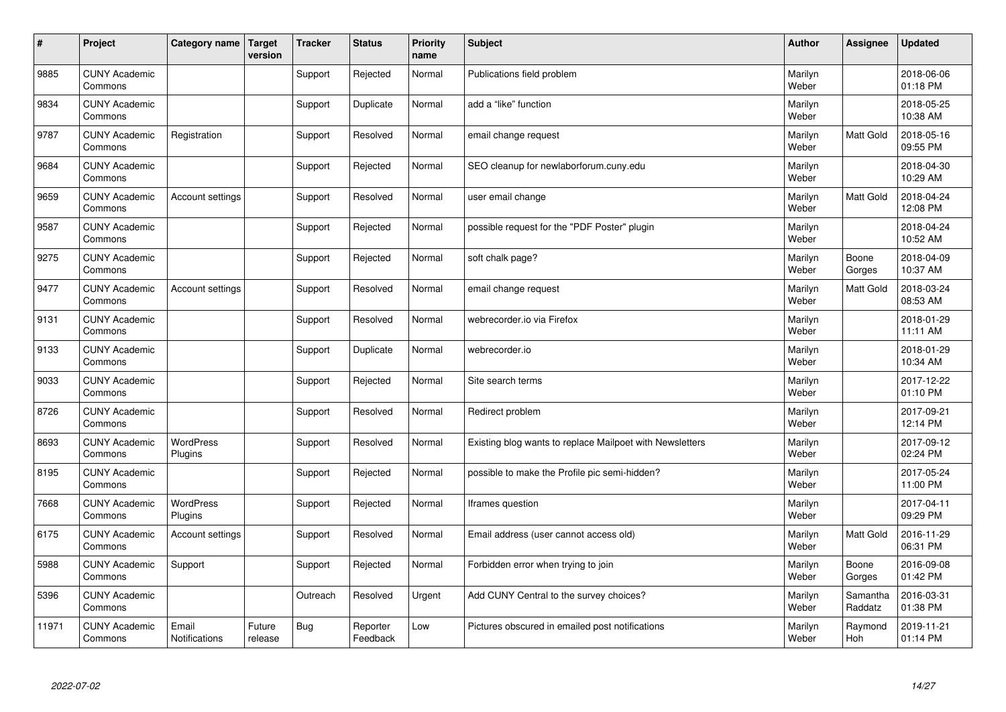| #     | Project                         | Category name                 | Target<br>version | <b>Tracker</b> | <b>Status</b>        | <b>Priority</b><br>name | <b>Subject</b>                                           | <b>Author</b>    | Assignee            | <b>Updated</b>         |
|-------|---------------------------------|-------------------------------|-------------------|----------------|----------------------|-------------------------|----------------------------------------------------------|------------------|---------------------|------------------------|
| 9885  | <b>CUNY Academic</b><br>Commons |                               |                   | Support        | Rejected             | Normal                  | Publications field problem                               | Marilyn<br>Weber |                     | 2018-06-06<br>01:18 PM |
| 9834  | <b>CUNY Academic</b><br>Commons |                               |                   | Support        | Duplicate            | Normal                  | add a "like" function                                    | Marilyn<br>Weber |                     | 2018-05-25<br>10:38 AM |
| 9787  | <b>CUNY Academic</b><br>Commons | Registration                  |                   | Support        | Resolved             | Normal                  | email change request                                     | Marilyn<br>Weber | Matt Gold           | 2018-05-16<br>09:55 PM |
| 9684  | <b>CUNY Academic</b><br>Commons |                               |                   | Support        | Rejected             | Normal                  | SEO cleanup for newlaborforum.cuny.edu                   | Marilyn<br>Weber |                     | 2018-04-30<br>10:29 AM |
| 9659  | <b>CUNY Academic</b><br>Commons | Account settings              |                   | Support        | Resolved             | Normal                  | user email change                                        | Marilyn<br>Weber | <b>Matt Gold</b>    | 2018-04-24<br>12:08 PM |
| 9587  | <b>CUNY Academic</b><br>Commons |                               |                   | Support        | Rejected             | Normal                  | possible request for the "PDF Poster" plugin             | Marilyn<br>Weber |                     | 2018-04-24<br>10:52 AM |
| 9275  | <b>CUNY Academic</b><br>Commons |                               |                   | Support        | Rejected             | Normal                  | soft chalk page?                                         | Marilyn<br>Weber | Boone<br>Gorges     | 2018-04-09<br>10:37 AM |
| 9477  | <b>CUNY Academic</b><br>Commons | Account settings              |                   | Support        | Resolved             | Normal                  | email change request                                     | Marilyn<br>Weber | Matt Gold           | 2018-03-24<br>08:53 AM |
| 9131  | <b>CUNY Academic</b><br>Commons |                               |                   | Support        | Resolved             | Normal                  | webrecorder.io via Firefox                               | Marilyn<br>Weber |                     | 2018-01-29<br>11:11 AM |
| 9133  | <b>CUNY Academic</b><br>Commons |                               |                   | Support        | Duplicate            | Normal                  | webrecorder.io                                           | Marilyn<br>Weber |                     | 2018-01-29<br>10:34 AM |
| 9033  | <b>CUNY Academic</b><br>Commons |                               |                   | Support        | Rejected             | Normal                  | Site search terms                                        | Marilyn<br>Weber |                     | 2017-12-22<br>01:10 PM |
| 8726  | <b>CUNY Academic</b><br>Commons |                               |                   | Support        | Resolved             | Normal                  | Redirect problem                                         | Marilyn<br>Weber |                     | 2017-09-21<br>12:14 PM |
| 8693  | <b>CUNY Academic</b><br>Commons | <b>WordPress</b><br>Plugins   |                   | Support        | Resolved             | Normal                  | Existing blog wants to replace Mailpoet with Newsletters | Marilyn<br>Weber |                     | 2017-09-12<br>02:24 PM |
| 8195  | <b>CUNY Academic</b><br>Commons |                               |                   | Support        | Rejected             | Normal                  | possible to make the Profile pic semi-hidden?            | Marilyn<br>Weber |                     | 2017-05-24<br>11:00 PM |
| 7668  | <b>CUNY Academic</b><br>Commons | WordPress<br>Plugins          |                   | Support        | Rejected             | Normal                  | Iframes question                                         | Marilyn<br>Weber |                     | 2017-04-11<br>09:29 PM |
| 6175  | <b>CUNY Academic</b><br>Commons | Account settings              |                   | Support        | Resolved             | Normal                  | Email address (user cannot access old)                   | Marilyn<br>Weber | Matt Gold           | 2016-11-29<br>06:31 PM |
| 5988  | <b>CUNY Academic</b><br>Commons | Support                       |                   | Support        | Rejected             | Normal                  | Forbidden error when trying to join                      | Marilyn<br>Weber | Boone<br>Gorges     | 2016-09-08<br>01:42 PM |
| 5396  | <b>CUNY Academic</b><br>Commons |                               |                   | Outreach       | Resolved             | Urgent                  | Add CUNY Central to the survey choices?                  | Marilyn<br>Weber | Samantha<br>Raddatz | 2016-03-31<br>01:38 PM |
| 11971 | <b>CUNY Academic</b><br>Commons | Email<br><b>Notifications</b> | Future<br>release | Bug            | Reporter<br>Feedback | Low                     | Pictures obscured in emailed post notifications          | Marilyn<br>Weber | Raymond<br>Hoh      | 2019-11-21<br>01:14 PM |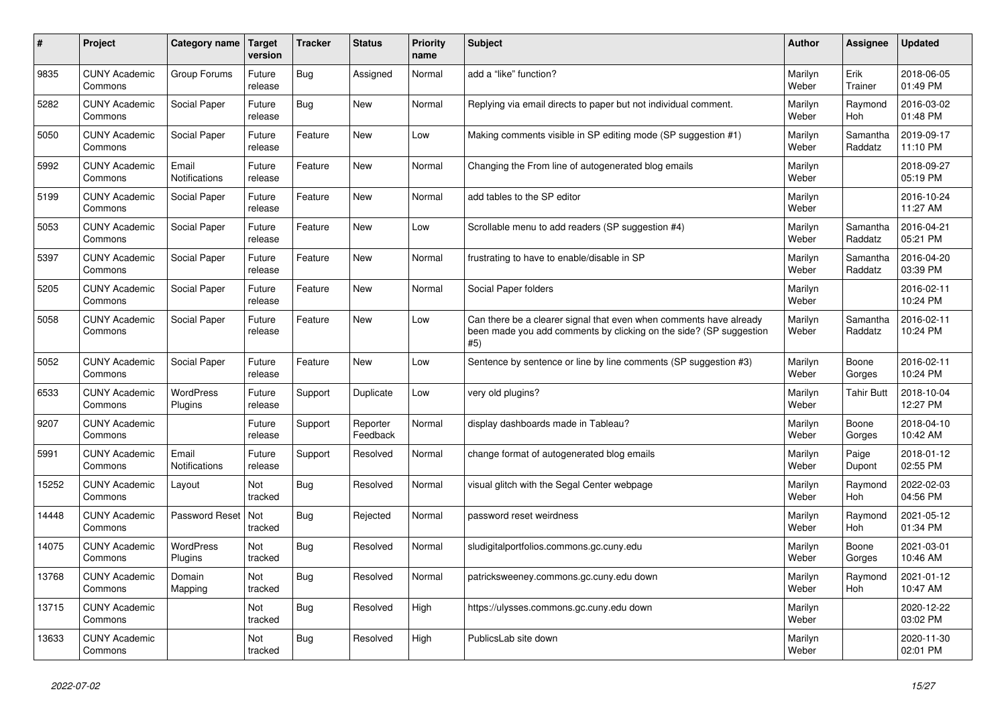| #     | Project                         | Category name          | <b>Target</b><br>version | <b>Tracker</b> | <b>Status</b>        | Priority<br>name | <b>Subject</b>                                                                                                                                  | <b>Author</b>    | Assignee            | <b>Updated</b>         |
|-------|---------------------------------|------------------------|--------------------------|----------------|----------------------|------------------|-------------------------------------------------------------------------------------------------------------------------------------------------|------------------|---------------------|------------------------|
| 9835  | <b>CUNY Academic</b><br>Commons | Group Forums           | Future<br>release        | <b>Bug</b>     | Assigned             | Normal           | add a "like" function?                                                                                                                          | Marilyn<br>Weber | Erik<br>Trainer     | 2018-06-05<br>01:49 PM |
| 5282  | <b>CUNY Academic</b><br>Commons | Social Paper           | Future<br>release        | <b>Bug</b>     | <b>New</b>           | Normal           | Replying via email directs to paper but not individual comment.                                                                                 | Marilyn<br>Weber | Raymond<br>Hoh      | 2016-03-02<br>01:48 PM |
| 5050  | <b>CUNY Academic</b><br>Commons | Social Paper           | Future<br>release        | Feature        | <b>New</b>           | Low              | Making comments visible in SP editing mode (SP suggestion #1)                                                                                   | Marilyn<br>Weber | Samantha<br>Raddatz | 2019-09-17<br>11:10 PM |
| 5992  | <b>CUNY Academic</b><br>Commons | Email<br>Notifications | Future<br>release        | Feature        | <b>New</b>           | Normal           | Changing the From line of autogenerated blog emails                                                                                             | Marilyn<br>Weber |                     | 2018-09-27<br>05:19 PM |
| 5199  | <b>CUNY Academic</b><br>Commons | Social Paper           | Future<br>release        | Feature        | <b>New</b>           | Normal           | add tables to the SP editor                                                                                                                     | Marilyn<br>Weber |                     | 2016-10-24<br>11:27 AM |
| 5053  | <b>CUNY Academic</b><br>Commons | Social Paper           | Future<br>release        | Feature        | <b>New</b>           | Low              | Scrollable menu to add readers (SP suggestion #4)                                                                                               | Marilyn<br>Weber | Samantha<br>Raddatz | 2016-04-21<br>05:21 PM |
| 5397  | <b>CUNY Academic</b><br>Commons | Social Paper           | Future<br>release        | Feature        | <b>New</b>           | Normal           | frustrating to have to enable/disable in SP                                                                                                     | Marilyn<br>Weber | Samantha<br>Raddatz | 2016-04-20<br>03:39 PM |
| 5205  | <b>CUNY Academic</b><br>Commons | Social Paper           | Future<br>release        | Feature        | New                  | Normal           | Social Paper folders                                                                                                                            | Marilyn<br>Weber |                     | 2016-02-11<br>10:24 PM |
| 5058  | <b>CUNY Academic</b><br>Commons | Social Paper           | Future<br>release        | Feature        | <b>New</b>           | Low              | Can there be a clearer signal that even when comments have already<br>been made you add comments by clicking on the side? (SP suggestion<br>#5) | Marilyn<br>Weber | Samantha<br>Raddatz | 2016-02-11<br>10:24 PM |
| 5052  | <b>CUNY Academic</b><br>Commons | Social Paper           | Future<br>release        | Feature        | <b>New</b>           | Low              | Sentence by sentence or line by line comments (SP suggestion #3)                                                                                | Marilyn<br>Weber | Boone<br>Gorges     | 2016-02-11<br>10:24 PM |
| 6533  | <b>CUNY Academic</b><br>Commons | WordPress<br>Plugins   | Future<br>release        | Support        | Duplicate            | Low              | very old plugins?                                                                                                                               | Marilyn<br>Weber | <b>Tahir Butt</b>   | 2018-10-04<br>12:27 PM |
| 9207  | <b>CUNY Academic</b><br>Commons |                        | Future<br>release        | Support        | Reporter<br>Feedback | Normal           | display dashboards made in Tableau?                                                                                                             | Marilyn<br>Weber | Boone<br>Gorges     | 2018-04-10<br>10:42 AM |
| 5991  | <b>CUNY Academic</b><br>Commons | Email<br>Notifications | Future<br>release        | Support        | Resolved             | Normal           | change format of autogenerated blog emails                                                                                                      | Marilyn<br>Weber | Paige<br>Dupont     | 2018-01-12<br>02:55 PM |
| 15252 | <b>CUNY Academic</b><br>Commons | Layout                 | Not<br>tracked           | <b>Bug</b>     | Resolved             | Normal           | visual glitch with the Segal Center webpage                                                                                                     | Marilyn<br>Weber | Raymond<br>Hoh      | 2022-02-03<br>04:56 PM |
| 14448 | <b>CUNY Academic</b><br>Commons | Password Reset         | Not<br>tracked           | <b>Bug</b>     | Rejected             | Normal           | password reset weirdness                                                                                                                        | Marilyn<br>Weber | Raymond<br>Hoh      | 2021-05-12<br>01:34 PM |
| 14075 | <b>CUNY Academic</b><br>Commons | WordPress<br>Plugins   | Not<br>tracked           | <b>Bug</b>     | Resolved             | Normal           | sludigitalportfolios.commons.gc.cuny.edu                                                                                                        | Marilyn<br>Weber | Boone<br>Gorges     | 2021-03-01<br>10:46 AM |
| 13768 | <b>CUNY Academic</b><br>Commons | Domain<br>Mapping      | Not<br>tracked           | <b>Bug</b>     | Resolved             | Normal           | patricksweeney.commons.gc.cuny.edu down                                                                                                         | Marilyn<br>Weber | Raymond<br>Hoh      | 2021-01-12<br>10:47 AM |
| 13715 | <b>CUNY Academic</b><br>Commons |                        | Not<br>tracked           | <b>Bug</b>     | Resolved             | High             | https://ulysses.commons.gc.cuny.edu down                                                                                                        | Marilyn<br>Weber |                     | 2020-12-22<br>03:02 PM |
| 13633 | <b>CUNY Academic</b><br>Commons |                        | Not<br>tracked           | Bug            | Resolved             | High             | PublicsLab site down                                                                                                                            | Marilyn<br>Weber |                     | 2020-11-30<br>02:01 PM |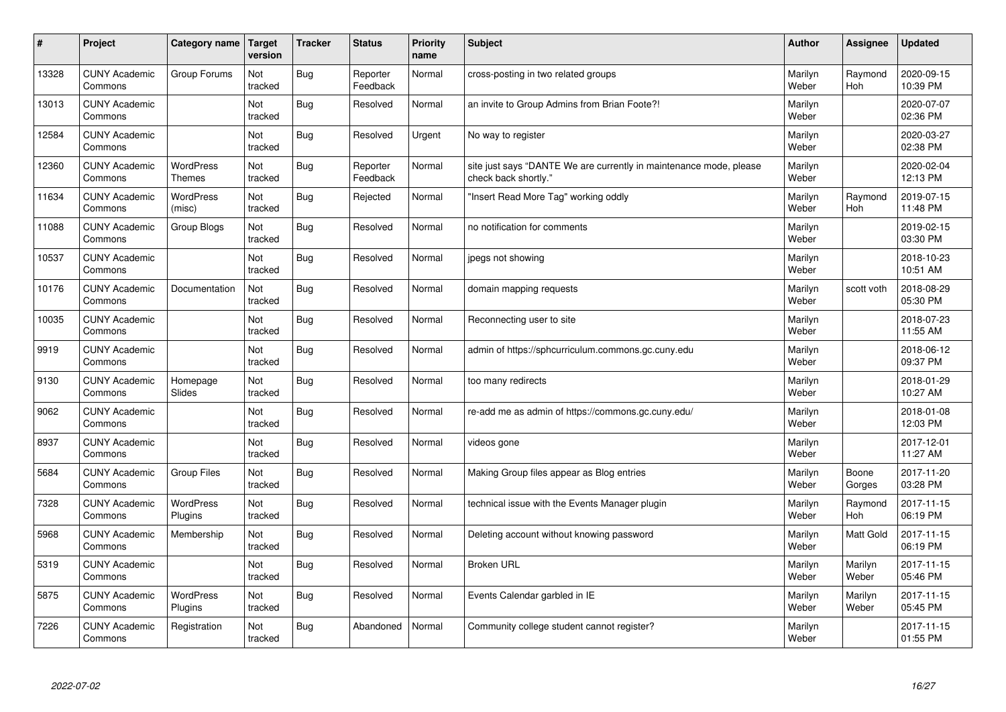| $\vert$ # | Project                         | Category name                     | <b>Target</b><br>version | <b>Tracker</b> | <b>Status</b>        | <b>Priority</b><br>name | <b>Subject</b>                                                                             | <b>Author</b>    | Assignee         | <b>Updated</b>         |
|-----------|---------------------------------|-----------------------------------|--------------------------|----------------|----------------------|-------------------------|--------------------------------------------------------------------------------------------|------------------|------------------|------------------------|
| 13328     | <b>CUNY Academic</b><br>Commons | Group Forums                      | Not<br>tracked           | <b>Bug</b>     | Reporter<br>Feedback | Normal                  | cross-posting in two related groups                                                        | Marilyn<br>Weber | Raymond<br>Hoh   | 2020-09-15<br>10:39 PM |
| 13013     | <b>CUNY Academic</b><br>Commons |                                   | Not<br>tracked           | <b>Bug</b>     | Resolved             | Normal                  | an invite to Group Admins from Brian Foote?!                                               | Marilyn<br>Weber |                  | 2020-07-07<br>02:36 PM |
| 12584     | <b>CUNY Academic</b><br>Commons |                                   | Not<br>tracked           | <b>Bug</b>     | Resolved             | Urgent                  | No way to register                                                                         | Marilyn<br>Weber |                  | 2020-03-27<br>02:38 PM |
| 12360     | <b>CUNY Academic</b><br>Commons | <b>WordPress</b><br><b>Themes</b> | Not<br>tracked           | <b>Bug</b>     | Reporter<br>Feedback | Normal                  | site just says "DANTE We are currently in maintenance mode, please<br>check back shortly." | Marilyn<br>Weber |                  | 2020-02-04<br>12:13 PM |
| 11634     | <b>CUNY Academic</b><br>Commons | <b>WordPress</b><br>(misc)        | Not<br>tracked           | <b>Bug</b>     | Rejected             | Normal                  | "Insert Read More Tag" working oddly                                                       | Marilyn<br>Weber | Raymond<br>Hoh   | 2019-07-15<br>11:48 PM |
| 11088     | <b>CUNY Academic</b><br>Commons | Group Blogs                       | Not<br>tracked           | <b>Bug</b>     | Resolved             | Normal                  | no notification for comments                                                               | Marilyn<br>Weber |                  | 2019-02-15<br>03:30 PM |
| 10537     | <b>CUNY Academic</b><br>Commons |                                   | Not<br>tracked           | <b>Bug</b>     | Resolved             | Normal                  | jpegs not showing                                                                          | Marilyn<br>Weber |                  | 2018-10-23<br>10:51 AM |
| 10176     | <b>CUNY Academic</b><br>Commons | Documentation                     | Not<br>tracked           | <b>Bug</b>     | Resolved             | Normal                  | domain mapping requests                                                                    | Marilyn<br>Weber | scott voth       | 2018-08-29<br>05:30 PM |
| 10035     | <b>CUNY Academic</b><br>Commons |                                   | Not<br>tracked           | <b>Bug</b>     | Resolved             | Normal                  | Reconnecting user to site                                                                  | Marilyn<br>Weber |                  | 2018-07-23<br>11:55 AM |
| 9919      | <b>CUNY Academic</b><br>Commons |                                   | Not<br>tracked           | <b>Bug</b>     | Resolved             | Normal                  | admin of https://sphcurriculum.commons.gc.cuny.edu                                         | Marilyn<br>Weber |                  | 2018-06-12<br>09:37 PM |
| 9130      | <b>CUNY Academic</b><br>Commons | Homepage<br>Slides                | Not<br>tracked           | <b>Bug</b>     | Resolved             | Normal                  | too many redirects                                                                         | Marilyn<br>Weber |                  | 2018-01-29<br>10:27 AM |
| 9062      | <b>CUNY Academic</b><br>Commons |                                   | Not<br>tracked           | <b>Bug</b>     | Resolved             | Normal                  | re-add me as admin of https://commons.gc.cuny.edu/                                         | Marilyn<br>Weber |                  | 2018-01-08<br>12:03 PM |
| 8937      | <b>CUNY Academic</b><br>Commons |                                   | Not<br>tracked           | <b>Bug</b>     | Resolved             | Normal                  | videos gone                                                                                | Marilyn<br>Weber |                  | 2017-12-01<br>11:27 AM |
| 5684      | <b>CUNY Academic</b><br>Commons | <b>Group Files</b>                | Not<br>tracked           | <b>Bug</b>     | Resolved             | Normal                  | Making Group files appear as Blog entries                                                  | Marilyn<br>Weber | Boone<br>Gorges  | 2017-11-20<br>03:28 PM |
| 7328      | <b>CUNY Academic</b><br>Commons | WordPress<br>Plugins              | Not<br>tracked           | <b>Bug</b>     | Resolved             | Normal                  | technical issue with the Events Manager plugin                                             | Marilyn<br>Weber | Raymond<br>Hoh   | 2017-11-15<br>06:19 PM |
| 5968      | <b>CUNY Academic</b><br>Commons | Membership                        | Not<br>tracked           | <b>Bug</b>     | Resolved             | Normal                  | Deleting account without knowing password                                                  | Marilyn<br>Weber | Matt Gold        | 2017-11-15<br>06:19 PM |
| 5319      | <b>CUNY Academic</b><br>Commons |                                   | Not<br>tracked           | <b>Bug</b>     | Resolved             | Normal                  | <b>Broken URL</b>                                                                          | Marilyn<br>Weber | Marilyn<br>Weber | 2017-11-15<br>05:46 PM |
| 5875      | <b>CUNY Academic</b><br>Commons | <b>WordPress</b><br>Plugins       | Not<br>tracked           | <b>Bug</b>     | Resolved             | Normal                  | Events Calendar garbled in IE                                                              | Marilyn<br>Weber | Marilyn<br>Weber | 2017-11-15<br>05:45 PM |
| 7226      | <b>CUNY Academic</b><br>Commons | Registration                      | Not<br>tracked           | <b>Bug</b>     | Abandoned            | Normal                  | Community college student cannot register?                                                 | Marilyn<br>Weber |                  | 2017-11-15<br>01:55 PM |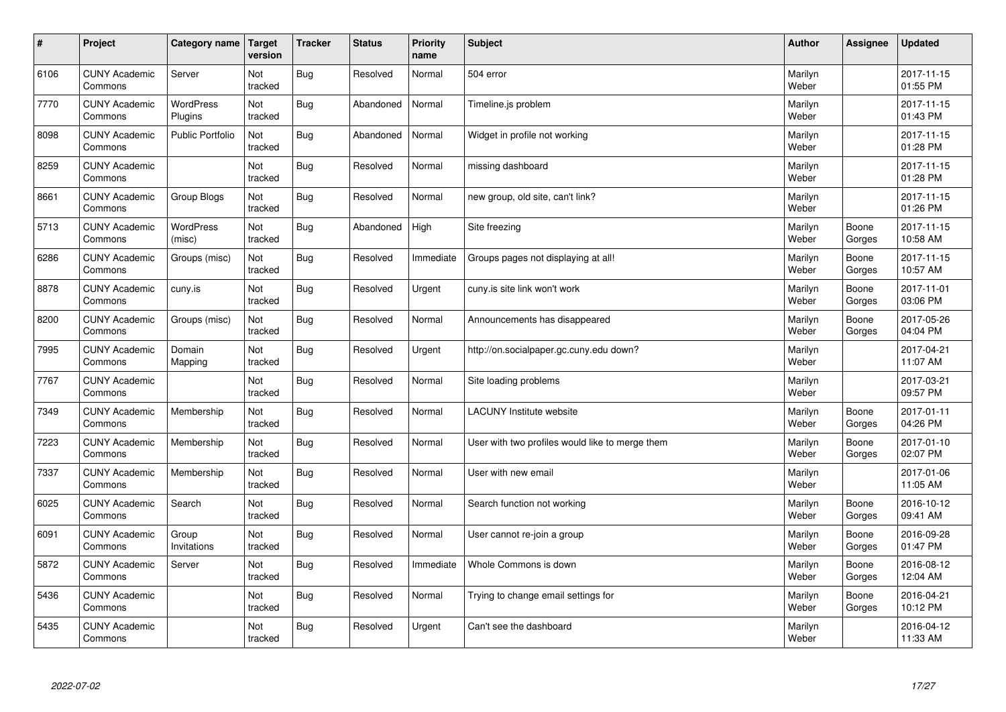| $\vert$ # | Project                         | Category name               | Target<br>version | <b>Tracker</b> | <b>Status</b> | <b>Priority</b><br>name | <b>Subject</b>                                  | <b>Author</b>    | Assignee        | <b>Updated</b>         |
|-----------|---------------------------------|-----------------------------|-------------------|----------------|---------------|-------------------------|-------------------------------------------------|------------------|-----------------|------------------------|
| 6106      | <b>CUNY Academic</b><br>Commons | Server                      | Not<br>tracked    | <b>Bug</b>     | Resolved      | Normal                  | 504 error                                       | Marilyn<br>Weber |                 | 2017-11-15<br>01:55 PM |
| 7770      | <b>CUNY Academic</b><br>Commons | <b>WordPress</b><br>Plugins | Not<br>tracked    | <b>Bug</b>     | Abandoned     | Normal                  | Timeline.js problem                             | Marilyn<br>Weber |                 | 2017-11-15<br>01:43 PM |
| 8098      | <b>CUNY Academic</b><br>Commons | <b>Public Portfolio</b>     | Not<br>tracked    | <b>Bug</b>     | Abandoned     | Normal                  | Widget in profile not working                   | Marilyn<br>Weber |                 | 2017-11-15<br>01:28 PM |
| 8259      | <b>CUNY Academic</b><br>Commons |                             | Not<br>tracked    | Bug            | Resolved      | Normal                  | missing dashboard                               | Marilyn<br>Weber |                 | 2017-11-15<br>01:28 PM |
| 8661      | <b>CUNY Academic</b><br>Commons | Group Blogs                 | Not<br>tracked    | <b>Bug</b>     | Resolved      | Normal                  | new group, old site, can't link?                | Marilyn<br>Weber |                 | 2017-11-15<br>01:26 PM |
| 5713      | <b>CUNY Academic</b><br>Commons | WordPress<br>(misc)         | Not<br>tracked    | <b>Bug</b>     | Abandoned     | High                    | Site freezing                                   | Marilyn<br>Weber | Boone<br>Gorges | 2017-11-15<br>10:58 AM |
| 6286      | <b>CUNY Academic</b><br>Commons | Groups (misc)               | Not<br>tracked    | <b>Bug</b>     | Resolved      | Immediate               | Groups pages not displaying at all!             | Marilyn<br>Weber | Boone<br>Gorges | 2017-11-15<br>10:57 AM |
| 8878      | <b>CUNY Academic</b><br>Commons | cuny.is                     | Not<br>tracked    | <b>Bug</b>     | Resolved      | Urgent                  | cuny.is site link won't work                    | Marilyn<br>Weber | Boone<br>Gorges | 2017-11-01<br>03:06 PM |
| 8200      | <b>CUNY Academic</b><br>Commons | Groups (misc)               | Not<br>tracked    | <b>Bug</b>     | Resolved      | Normal                  | Announcements has disappeared                   | Marilyn<br>Weber | Boone<br>Gorges | 2017-05-26<br>04:04 PM |
| 7995      | <b>CUNY Academic</b><br>Commons | Domain<br>Mapping           | Not<br>tracked    | <b>Bug</b>     | Resolved      | Urgent                  | http://on.socialpaper.gc.cuny.edu down?         | Marilyn<br>Weber |                 | 2017-04-21<br>11:07 AM |
| 7767      | <b>CUNY Academic</b><br>Commons |                             | Not<br>tracked    | <b>Bug</b>     | Resolved      | Normal                  | Site loading problems                           | Marilyn<br>Weber |                 | 2017-03-21<br>09:57 PM |
| 7349      | <b>CUNY Academic</b><br>Commons | Membership                  | Not<br>tracked    | <b>Bug</b>     | Resolved      | Normal                  | LACUNY Institute website                        | Marilyn<br>Weber | Boone<br>Gorges | 2017-01-11<br>04:26 PM |
| 7223      | <b>CUNY Academic</b><br>Commons | Membership                  | Not<br>tracked    | <b>Bug</b>     | Resolved      | Normal                  | User with two profiles would like to merge them | Marilyn<br>Weber | Boone<br>Gorges | 2017-01-10<br>02:07 PM |
| 7337      | <b>CUNY Academic</b><br>Commons | Membership                  | Not<br>tracked    | Bug            | Resolved      | Normal                  | User with new email                             | Marilyn<br>Weber |                 | 2017-01-06<br>11:05 AM |
| 6025      | <b>CUNY Academic</b><br>Commons | Search                      | Not<br>tracked    | <b>Bug</b>     | Resolved      | Normal                  | Search function not working                     | Marilyn<br>Weber | Boone<br>Gorges | 2016-10-12<br>09:41 AM |
| 6091      | <b>CUNY Academic</b><br>Commons | Group<br>Invitations        | Not<br>tracked    | <b>Bug</b>     | Resolved      | Normal                  | User cannot re-join a group                     | Marilyn<br>Weber | Boone<br>Gorges | 2016-09-28<br>01:47 PM |
| 5872      | <b>CUNY Academic</b><br>Commons | Server                      | Not<br>tracked    | <b>Bug</b>     | Resolved      | Immediate               | Whole Commons is down                           | Marilyn<br>Weber | Boone<br>Gorges | 2016-08-12<br>12:04 AM |
| 5436      | <b>CUNY Academic</b><br>Commons |                             | Not<br>tracked    | Bug            | Resolved      | Normal                  | Trying to change email settings for             | Marilyn<br>Weber | Boone<br>Gorges | 2016-04-21<br>10:12 PM |
| 5435      | <b>CUNY Academic</b><br>Commons |                             | Not<br>tracked    | <b>Bug</b>     | Resolved      | Urgent                  | Can't see the dashboard                         | Marilyn<br>Weber |                 | 2016-04-12<br>11:33 AM |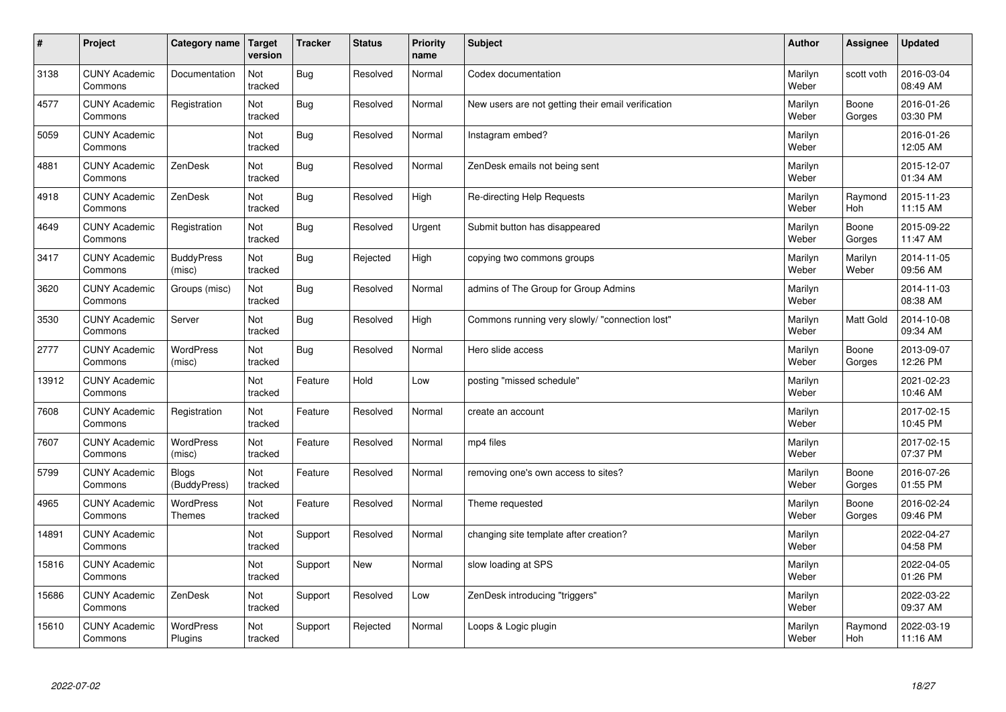| $\sharp$ | Project                         | Category name                     | <b>Target</b><br>version | <b>Tracker</b> | <b>Status</b> | Priority<br>name | <b>Subject</b>                                     | <b>Author</b>    | Assignee         | <b>Updated</b>         |
|----------|---------------------------------|-----------------------------------|--------------------------|----------------|---------------|------------------|----------------------------------------------------|------------------|------------------|------------------------|
| 3138     | <b>CUNY Academic</b><br>Commons | Documentation                     | Not<br>tracked           | <b>Bug</b>     | Resolved      | Normal           | Codex documentation                                | Marilyn<br>Weber | scott voth       | 2016-03-04<br>08:49 AM |
| 4577     | <b>CUNY Academic</b><br>Commons | Registration                      | Not<br>tracked           | <b>Bug</b>     | Resolved      | Normal           | New users are not getting their email verification | Marilyn<br>Weber | Boone<br>Gorges  | 2016-01-26<br>03:30 PM |
| 5059     | <b>CUNY Academic</b><br>Commons |                                   | Not<br>tracked           | <b>Bug</b>     | Resolved      | Normal           | Instagram embed?                                   | Marilyn<br>Weber |                  | 2016-01-26<br>12:05 AM |
| 4881     | <b>CUNY Academic</b><br>Commons | ZenDesk                           | Not<br>tracked           | <b>Bug</b>     | Resolved      | Normal           | ZenDesk emails not being sent                      | Marilyn<br>Weber |                  | 2015-12-07<br>01:34 AM |
| 4918     | <b>CUNY Academic</b><br>Commons | ZenDesk                           | <b>Not</b><br>tracked    | <b>Bug</b>     | Resolved      | High             | Re-directing Help Requests                         | Marilyn<br>Weber | Raymond<br>Hoh   | 2015-11-23<br>11:15 AM |
| 4649     | <b>CUNY Academic</b><br>Commons | Registration                      | Not<br>tracked           | Bug            | Resolved      | Urgent           | Submit button has disappeared                      | Marilyn<br>Weber | Boone<br>Gorges  | 2015-09-22<br>11:47 AM |
| 3417     | <b>CUNY Academic</b><br>Commons | <b>BuddyPress</b><br>(misc)       | Not<br>tracked           | <b>Bug</b>     | Rejected      | High             | copying two commons groups                         | Marilyn<br>Weber | Marilyn<br>Weber | 2014-11-05<br>09:56 AM |
| 3620     | <b>CUNY Academic</b><br>Commons | Groups (misc)                     | Not<br>tracked           | <b>Bug</b>     | Resolved      | Normal           | admins of The Group for Group Admins               | Marilyn<br>Weber |                  | 2014-11-03<br>08:38 AM |
| 3530     | <b>CUNY Academic</b><br>Commons | Server                            | Not<br>tracked           | <b>Bug</b>     | Resolved      | High             | Commons running very slowly/ "connection lost"     | Marilyn<br>Weber | Matt Gold        | 2014-10-08<br>09:34 AM |
| 2777     | <b>CUNY Academic</b><br>Commons | <b>WordPress</b><br>(misc)        | Not<br>tracked           | <b>Bug</b>     | Resolved      | Normal           | Hero slide access                                  | Marilyn<br>Weber | Boone<br>Gorges  | 2013-09-07<br>12:26 PM |
| 13912    | <b>CUNY Academic</b><br>Commons |                                   | Not<br>tracked           | Feature        | Hold          | Low              | posting "missed schedule"                          | Marilyn<br>Weber |                  | 2021-02-23<br>10:46 AM |
| 7608     | <b>CUNY Academic</b><br>Commons | Registration                      | Not<br>tracked           | Feature        | Resolved      | Normal           | create an account                                  | Marilyn<br>Weber |                  | 2017-02-15<br>10:45 PM |
| 7607     | <b>CUNY Academic</b><br>Commons | WordPress<br>(misc)               | Not<br>tracked           | Feature        | Resolved      | Normal           | mp4 files                                          | Marilyn<br>Weber |                  | 2017-02-15<br>07:37 PM |
| 5799     | <b>CUNY Academic</b><br>Commons | <b>Blogs</b><br>(BuddyPress)      | Not<br>tracked           | Feature        | Resolved      | Normal           | removing one's own access to sites?                | Marilyn<br>Weber | Boone<br>Gorges  | 2016-07-26<br>01:55 PM |
| 4965     | <b>CUNY Academic</b><br>Commons | <b>WordPress</b><br><b>Themes</b> | Not<br>tracked           | Feature        | Resolved      | Normal           | Theme requested                                    | Marilyn<br>Weber | Boone<br>Gorges  | 2016-02-24<br>09:46 PM |
| 14891    | <b>CUNY Academic</b><br>Commons |                                   | Not<br>tracked           | Support        | Resolved      | Normal           | changing site template after creation?             | Marilyn<br>Weber |                  | 2022-04-27<br>04:58 PM |
| 15816    | <b>CUNY Academic</b><br>Commons |                                   | Not<br>tracked           | Support        | <b>New</b>    | Normal           | slow loading at SPS                                | Marilyn<br>Weber |                  | 2022-04-05<br>01:26 PM |
| 15686    | <b>CUNY Academic</b><br>Commons | ZenDesk                           | Not<br>tracked           | Support        | Resolved      | Low              | ZenDesk introducing "triggers"                     | Marilyn<br>Weber |                  | 2022-03-22<br>09:37 AM |
| 15610    | <b>CUNY Academic</b><br>Commons | WordPress<br>Plugins              | Not<br>tracked           | Support        | Rejected      | Normal           | Loops & Logic plugin                               | Marilyn<br>Weber | Raymond<br>Hoh   | 2022-03-19<br>11:16 AM |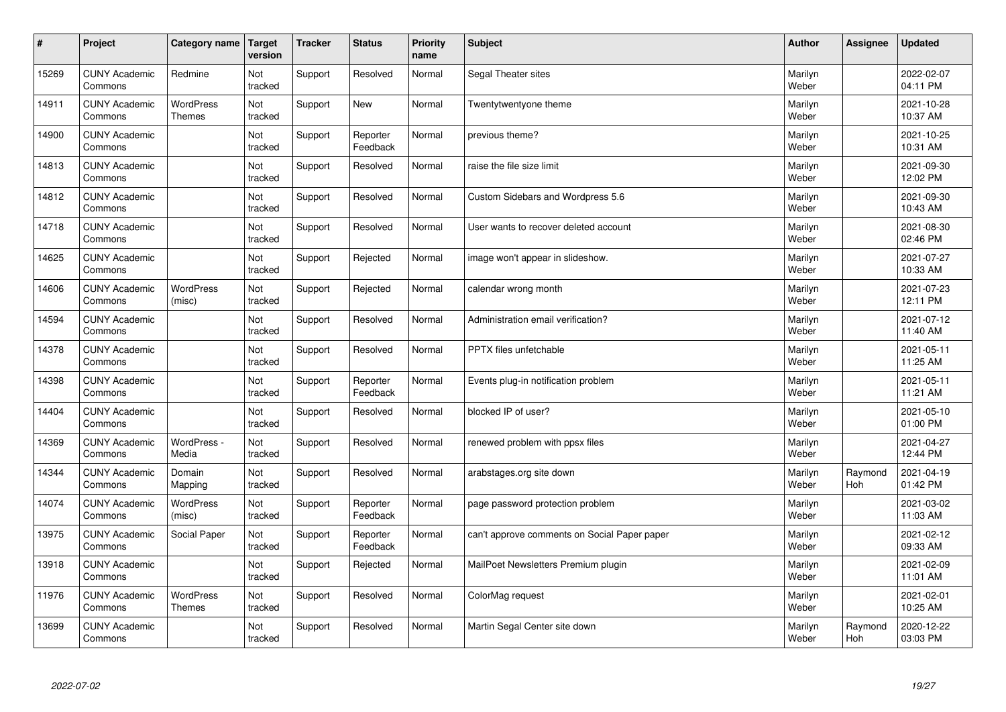| $\sharp$ | Project                         | Category name              | <b>Target</b><br>version | <b>Tracker</b> | <b>Status</b>        | Priority<br>name | <b>Subject</b>                               | <b>Author</b>    | <b>Assignee</b> | <b>Updated</b>         |
|----------|---------------------------------|----------------------------|--------------------------|----------------|----------------------|------------------|----------------------------------------------|------------------|-----------------|------------------------|
| 15269    | <b>CUNY Academic</b><br>Commons | Redmine                    | Not<br>tracked           | Support        | Resolved             | Normal           | Segal Theater sites                          | Marilyn<br>Weber |                 | 2022-02-07<br>04:11 PM |
| 14911    | <b>CUNY Academic</b><br>Commons | WordPress<br><b>Themes</b> | Not<br>tracked           | Support        | New                  | Normal           | Twentytwentyone theme                        | Marilyn<br>Weber |                 | 2021-10-28<br>10:37 AM |
| 14900    | <b>CUNY Academic</b><br>Commons |                            | Not<br>tracked           | Support        | Reporter<br>Feedback | Normal           | previous theme?                              | Marilyn<br>Weber |                 | 2021-10-25<br>10:31 AM |
| 14813    | <b>CUNY Academic</b><br>Commons |                            | Not<br>tracked           | Support        | Resolved             | Normal           | raise the file size limit                    | Marilyn<br>Weber |                 | 2021-09-30<br>12:02 PM |
| 14812    | <b>CUNY Academic</b><br>Commons |                            | Not<br>tracked           | Support        | Resolved             | Normal           | Custom Sidebars and Wordpress 5.6            | Marilyn<br>Weber |                 | 2021-09-30<br>10:43 AM |
| 14718    | <b>CUNY Academic</b><br>Commons |                            | Not<br>tracked           | Support        | Resolved             | Normal           | User wants to recover deleted account        | Marilyn<br>Weber |                 | 2021-08-30<br>02:46 PM |
| 14625    | <b>CUNY Academic</b><br>Commons |                            | Not<br>tracked           | Support        | Rejected             | Normal           | image won't appear in slideshow.             | Marilyn<br>Weber |                 | 2021-07-27<br>10:33 AM |
| 14606    | <b>CUNY Academic</b><br>Commons | WordPress<br>(misc)        | Not<br>tracked           | Support        | Rejected             | Normal           | calendar wrong month                         | Marilyn<br>Weber |                 | 2021-07-23<br>12:11 PM |
| 14594    | <b>CUNY Academic</b><br>Commons |                            | Not<br>tracked           | Support        | Resolved             | Normal           | Administration email verification?           | Marilyn<br>Weber |                 | 2021-07-12<br>11:40 AM |
| 14378    | <b>CUNY Academic</b><br>Commons |                            | Not<br>tracked           | Support        | Resolved             | Normal           | PPTX files unfetchable                       | Marilyn<br>Weber |                 | 2021-05-11<br>11:25 AM |
| 14398    | <b>CUNY Academic</b><br>Commons |                            | Not<br>tracked           | Support        | Reporter<br>Feedback | Normal           | Events plug-in notification problem          | Marilyn<br>Weber |                 | 2021-05-11<br>11:21 AM |
| 14404    | <b>CUNY Academic</b><br>Commons |                            | Not<br>tracked           | Support        | Resolved             | Normal           | blocked IP of user?                          | Marilyn<br>Weber |                 | 2021-05-10<br>01:00 PM |
| 14369    | <b>CUNY Academic</b><br>Commons | WordPress -<br>Media       | Not<br>tracked           | Support        | Resolved             | Normal           | renewed problem with ppsx files              | Marilyn<br>Weber |                 | 2021-04-27<br>12:44 PM |
| 14344    | <b>CUNY Academic</b><br>Commons | Domain<br>Mapping          | Not<br>tracked           | Support        | Resolved             | Normal           | arabstages.org site down                     | Marilyn<br>Weber | Raymond<br>Hoh  | 2021-04-19<br>01:42 PM |
| 14074    | <b>CUNY Academic</b><br>Commons | WordPress<br>(misc)        | Not<br>tracked           | Support        | Reporter<br>Feedback | Normal           | page password protection problem             | Marilyn<br>Weber |                 | 2021-03-02<br>11:03 AM |
| 13975    | <b>CUNY Academic</b><br>Commons | Social Paper               | Not<br>tracked           | Support        | Reporter<br>Feedback | Normal           | can't approve comments on Social Paper paper | Marilyn<br>Weber |                 | 2021-02-12<br>09:33 AM |
| 13918    | <b>CUNY Academic</b><br>Commons |                            | Not<br>tracked           | Support        | Rejected             | Normal           | MailPoet Newsletters Premium plugin          | Marilyn<br>Weber |                 | 2021-02-09<br>11:01 AM |
| 11976    | <b>CUNY Academic</b><br>Commons | WordPress<br>Themes        | Not<br>tracked           | Support        | Resolved             | Normal           | ColorMag request                             | Marilyn<br>Weber |                 | 2021-02-01<br>10:25 AM |
| 13699    | <b>CUNY Academic</b><br>Commons |                            | Not<br>tracked           | Support        | Resolved             | Normal           | Martin Segal Center site down                | Marilyn<br>Weber | Raymond<br>Hoh  | 2020-12-22<br>03:03 PM |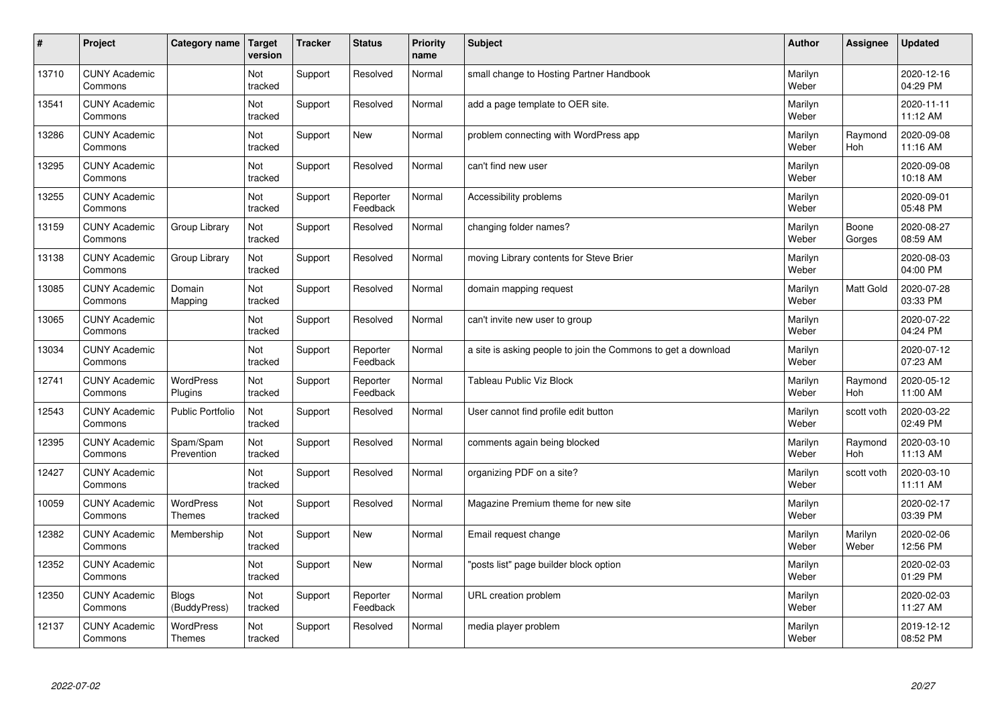| $\pmb{\#}$ | Project                         | Category name                     | <b>Target</b><br>version | <b>Tracker</b> | <b>Status</b>        | <b>Priority</b><br>name | <b>Subject</b>                                                | <b>Author</b>    | <b>Assignee</b>  | <b>Updated</b>         |
|------------|---------------------------------|-----------------------------------|--------------------------|----------------|----------------------|-------------------------|---------------------------------------------------------------|------------------|------------------|------------------------|
| 13710      | <b>CUNY Academic</b><br>Commons |                                   | Not<br>tracked           | Support        | Resolved             | Normal                  | small change to Hosting Partner Handbook                      | Marilyn<br>Weber |                  | 2020-12-16<br>04:29 PM |
| 13541      | <b>CUNY Academic</b><br>Commons |                                   | Not<br>tracked           | Support        | Resolved             | Normal                  | add a page template to OER site.                              | Marilyn<br>Weber |                  | 2020-11-11<br>11:12 AM |
| 13286      | <b>CUNY Academic</b><br>Commons |                                   | Not<br>tracked           | Support        | <b>New</b>           | Normal                  | problem connecting with WordPress app                         | Marilyn<br>Weber | Raymond<br>Hoh   | 2020-09-08<br>11:16 AM |
| 13295      | <b>CUNY Academic</b><br>Commons |                                   | Not<br>tracked           | Support        | Resolved             | Normal                  | can't find new user                                           | Marilyn<br>Weber |                  | 2020-09-08<br>10:18 AM |
| 13255      | <b>CUNY Academic</b><br>Commons |                                   | Not<br>tracked           | Support        | Reporter<br>Feedback | Normal                  | Accessibility problems                                        | Marilyn<br>Weber |                  | 2020-09-01<br>05:48 PM |
| 13159      | <b>CUNY Academic</b><br>Commons | Group Library                     | Not<br>tracked           | Support        | Resolved             | Normal                  | changing folder names?                                        | Marilyn<br>Weber | Boone<br>Gorges  | 2020-08-27<br>08:59 AM |
| 13138      | <b>CUNY Academic</b><br>Commons | Group Library                     | Not<br>tracked           | Support        | Resolved             | Normal                  | moving Library contents for Steve Brier                       | Marilyn<br>Weber |                  | 2020-08-03<br>04:00 PM |
| 13085      | <b>CUNY Academic</b><br>Commons | Domain<br>Mapping                 | Not<br>tracked           | Support        | Resolved             | Normal                  | domain mapping request                                        | Marilyn<br>Weber | Matt Gold        | 2020-07-28<br>03:33 PM |
| 13065      | <b>CUNY Academic</b><br>Commons |                                   | Not<br>tracked           | Support        | Resolved             | Normal                  | can't invite new user to group                                | Marilyn<br>Weber |                  | 2020-07-22<br>04:24 PM |
| 13034      | <b>CUNY Academic</b><br>Commons |                                   | Not<br>tracked           | Support        | Reporter<br>Feedback | Normal                  | a site is asking people to join the Commons to get a download | Marilyn<br>Weber |                  | 2020-07-12<br>07:23 AM |
| 12741      | <b>CUNY Academic</b><br>Commons | WordPress<br>Plugins              | Not<br>tracked           | Support        | Reporter<br>Feedback | Normal                  | Tableau Public Viz Block                                      | Marilyn<br>Weber | Raymond<br>Hoh   | 2020-05-12<br>11:00 AM |
| 12543      | <b>CUNY Academic</b><br>Commons | <b>Public Portfolio</b>           | Not<br>tracked           | Support        | Resolved             | Normal                  | User cannot find profile edit button                          | Marilyn<br>Weber | scott voth       | 2020-03-22<br>02:49 PM |
| 12395      | <b>CUNY Academic</b><br>Commons | Spam/Spam<br>Prevention           | Not<br>tracked           | Support        | Resolved             | Normal                  | comments again being blocked                                  | Marilyn<br>Weber | Raymond<br>Hoh   | 2020-03-10<br>11:13 AM |
| 12427      | <b>CUNY Academic</b><br>Commons |                                   | Not<br>tracked           | Support        | Resolved             | Normal                  | organizing PDF on a site?                                     | Marilyn<br>Weber | scott voth       | 2020-03-10<br>11:11 AM |
| 10059      | <b>CUNY Academic</b><br>Commons | <b>WordPress</b><br>Themes        | Not<br>tracked           | Support        | Resolved             | Normal                  | Magazine Premium theme for new site                           | Marilyn<br>Weber |                  | 2020-02-17<br>03:39 PM |
| 12382      | <b>CUNY Academic</b><br>Commons | Membership                        | Not<br>tracked           | Support        | <b>New</b>           | Normal                  | Email request change                                          | Marilyn<br>Weber | Marilyn<br>Weber | 2020-02-06<br>12:56 PM |
| 12352      | <b>CUNY Academic</b><br>Commons |                                   | Not<br>tracked           | Support        | <b>New</b>           | Normal                  | 'posts list" page builder block option                        | Marilyn<br>Weber |                  | 2020-02-03<br>01:29 PM |
| 12350      | <b>CUNY Academic</b><br>Commons | Blogs<br>(BuddyPress)             | Not<br>tracked           | Support        | Reporter<br>Feedback | Normal                  | URL creation problem                                          | Marilyn<br>Weber |                  | 2020-02-03<br>11:27 AM |
| 12137      | <b>CUNY Academic</b><br>Commons | <b>WordPress</b><br><b>Themes</b> | Not<br>tracked           | Support        | Resolved             | Normal                  | media player problem                                          | Marilyn<br>Weber |                  | 2019-12-12<br>08:52 PM |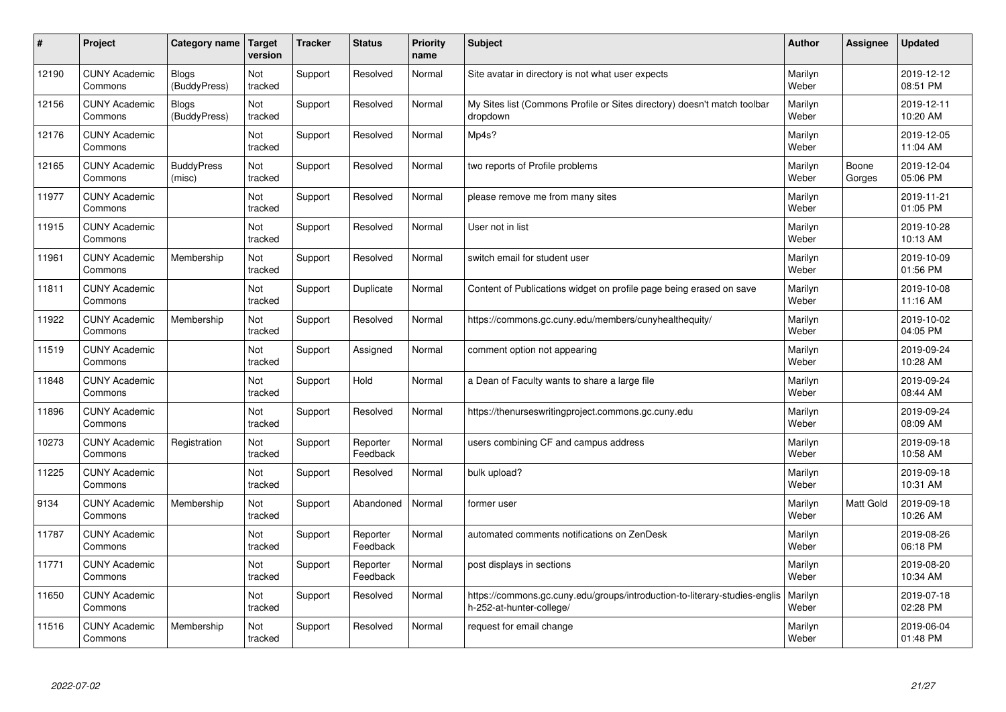| #     | Project                         | <b>Category name</b>         | <b>Target</b><br>version | <b>Tracker</b> | <b>Status</b>        | <b>Priority</b><br>name | <b>Subject</b>                                                                                         | <b>Author</b>    | Assignee        | <b>Updated</b>         |
|-------|---------------------------------|------------------------------|--------------------------|----------------|----------------------|-------------------------|--------------------------------------------------------------------------------------------------------|------------------|-----------------|------------------------|
| 12190 | <b>CUNY Academic</b><br>Commons | <b>Blogs</b><br>(BuddyPress) | Not<br>tracked           | Support        | Resolved             | Normal                  | Site avatar in directory is not what user expects                                                      | Marilyn<br>Weber |                 | 2019-12-12<br>08:51 PM |
| 12156 | <b>CUNY Academic</b><br>Commons | <b>Blogs</b><br>(BuddyPress) | Not<br>tracked           | Support        | Resolved             | Normal                  | My Sites list (Commons Profile or Sites directory) doesn't match toolbar<br>dropdown                   | Marilyn<br>Weber |                 | 2019-12-11<br>10:20 AM |
| 12176 | <b>CUNY Academic</b><br>Commons |                              | Not<br>tracked           | Support        | Resolved             | Normal                  | Mp4s?                                                                                                  | Marilyn<br>Weber |                 | 2019-12-05<br>11:04 AM |
| 12165 | <b>CUNY Academic</b><br>Commons | <b>BuddyPress</b><br>(misc)  | Not<br>tracked           | Support        | Resolved             | Normal                  | two reports of Profile problems                                                                        | Marilyn<br>Weber | Boone<br>Gorges | 2019-12-04<br>05:06 PM |
| 11977 | <b>CUNY Academic</b><br>Commons |                              | Not<br>tracked           | Support        | Resolved             | Normal                  | please remove me from many sites                                                                       | Marilyn<br>Weber |                 | 2019-11-21<br>01:05 PM |
| 11915 | <b>CUNY Academic</b><br>Commons |                              | Not<br>tracked           | Support        | Resolved             | Normal                  | User not in list                                                                                       | Marilyn<br>Weber |                 | 2019-10-28<br>10:13 AM |
| 11961 | <b>CUNY Academic</b><br>Commons | Membership                   | Not<br>tracked           | Support        | Resolved             | Normal                  | switch email for student user                                                                          | Marilyn<br>Weber |                 | 2019-10-09<br>01:56 PM |
| 11811 | <b>CUNY Academic</b><br>Commons |                              | Not<br>tracked           | Support        | Duplicate            | Normal                  | Content of Publications widget on profile page being erased on save                                    | Marilyn<br>Weber |                 | 2019-10-08<br>11:16 AM |
| 11922 | <b>CUNY Academic</b><br>Commons | Membership                   | Not<br>tracked           | Support        | Resolved             | Normal                  | https://commons.gc.cuny.edu/members/cunyhealthequity/                                                  | Marilyn<br>Weber |                 | 2019-10-02<br>04:05 PM |
| 11519 | <b>CUNY Academic</b><br>Commons |                              | Not<br>tracked           | Support        | Assigned             | Normal                  | comment option not appearing                                                                           | Marilyn<br>Weber |                 | 2019-09-24<br>10:28 AM |
| 11848 | <b>CUNY Academic</b><br>Commons |                              | Not<br>tracked           | Support        | Hold                 | Normal                  | a Dean of Faculty wants to share a large file                                                          | Marilyn<br>Weber |                 | 2019-09-24<br>08:44 AM |
| 11896 | <b>CUNY Academic</b><br>Commons |                              | Not<br>tracked           | Support        | Resolved             | Normal                  | https://thenurseswritingproject.commons.gc.cuny.edu                                                    | Marilyn<br>Weber |                 | 2019-09-24<br>08:09 AM |
| 10273 | <b>CUNY Academic</b><br>Commons | Registration                 | Not<br>tracked           | Support        | Reporter<br>Feedback | Normal                  | users combining CF and campus address                                                                  | Marilyn<br>Weber |                 | 2019-09-18<br>10:58 AM |
| 11225 | <b>CUNY Academic</b><br>Commons |                              | Not<br>tracked           | Support        | Resolved             | Normal                  | bulk upload?                                                                                           | Marilyn<br>Weber |                 | 2019-09-18<br>10:31 AM |
| 9134  | <b>CUNY Academic</b><br>Commons | Membership                   | Not<br>tracked           | Support        | Abandoned            | Normal                  | former user                                                                                            | Marilyn<br>Weber | Matt Gold       | 2019-09-18<br>10:26 AM |
| 11787 | <b>CUNY Academic</b><br>Commons |                              | Not<br>tracked           | Support        | Reporter<br>Feedback | Normal                  | automated comments notifications on ZenDesk                                                            | Marilyn<br>Weber |                 | 2019-08-26<br>06:18 PM |
| 11771 | <b>CUNY Academic</b><br>Commons |                              | Not<br>tracked           | Support        | Reporter<br>Feedback | Normal                  | post displays in sections                                                                              | Marilyn<br>Weber |                 | 2019-08-20<br>10:34 AM |
| 11650 | <b>CUNY Academic</b><br>Commons |                              | Not<br>tracked           | Support        | Resolved             | Normal                  | https://commons.gc.cuny.edu/groups/introduction-to-literary-studies-englis<br>h-252-at-hunter-college/ | Marilyn<br>Weber |                 | 2019-07-18<br>02:28 PM |
| 11516 | <b>CUNY Academic</b><br>Commons | Membership                   | Not<br>tracked           | Support        | Resolved             | Normal                  | request for email change                                                                               | Marilyn<br>Weber |                 | 2019-06-04<br>01:48 PM |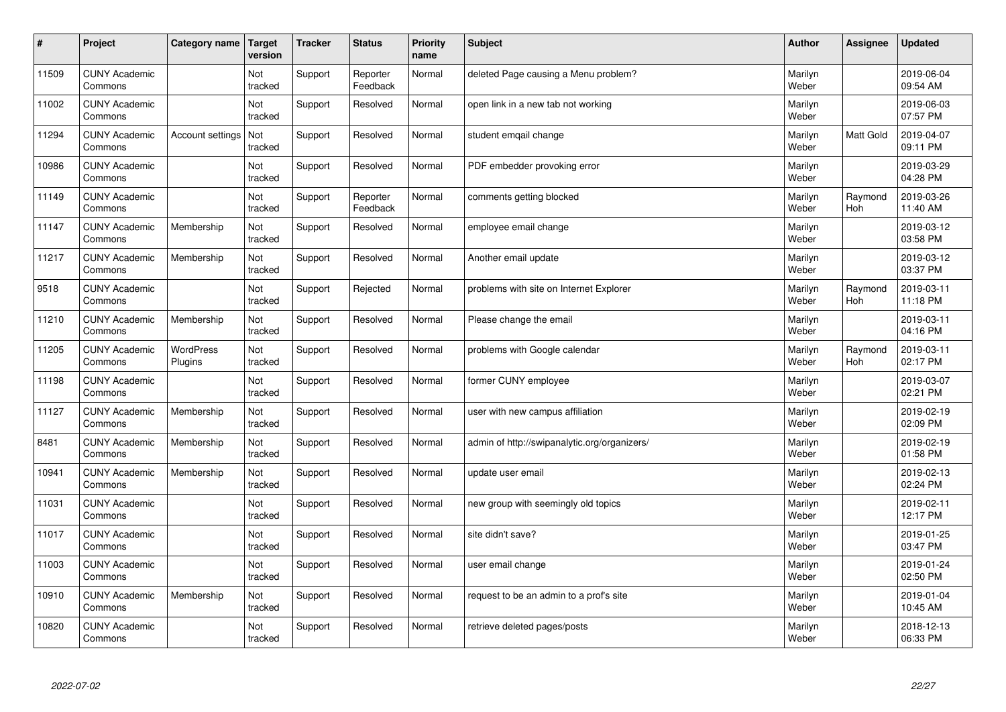| $\sharp$ | Project                         | Category name               | <b>Target</b><br>version | <b>Tracker</b> | <b>Status</b>        | Priority<br>name | <b>Subject</b>                               | <b>Author</b>    | <b>Assignee</b> | <b>Updated</b>         |
|----------|---------------------------------|-----------------------------|--------------------------|----------------|----------------------|------------------|----------------------------------------------|------------------|-----------------|------------------------|
| 11509    | <b>CUNY Academic</b><br>Commons |                             | Not<br>tracked           | Support        | Reporter<br>Feedback | Normal           | deleted Page causing a Menu problem?         | Marilyn<br>Weber |                 | 2019-06-04<br>09:54 AM |
| 11002    | <b>CUNY Academic</b><br>Commons |                             | Not<br>tracked           | Support        | Resolved             | Normal           | open link in a new tab not working           | Marilyn<br>Weber |                 | 2019-06-03<br>07:57 PM |
| 11294    | <b>CUNY Academic</b><br>Commons | Account settings            | Not<br>tracked           | Support        | Resolved             | Normal           | student emgail change                        | Marilyn<br>Weber | Matt Gold       | 2019-04-07<br>09:11 PM |
| 10986    | <b>CUNY Academic</b><br>Commons |                             | Not<br>tracked           | Support        | Resolved             | Normal           | PDF embedder provoking error                 | Marilyn<br>Weber |                 | 2019-03-29<br>04:28 PM |
| 11149    | <b>CUNY Academic</b><br>Commons |                             | Not<br>tracked           | Support        | Reporter<br>Feedback | Normal           | comments getting blocked                     | Marilyn<br>Weber | Raymond<br>Hoh  | 2019-03-26<br>11:40 AM |
| 11147    | <b>CUNY Academic</b><br>Commons | Membership                  | Not<br>tracked           | Support        | Resolved             | Normal           | employee email change                        | Marilyn<br>Weber |                 | 2019-03-12<br>03:58 PM |
| 11217    | <b>CUNY Academic</b><br>Commons | Membership                  | Not<br>tracked           | Support        | Resolved             | Normal           | Another email update                         | Marilyn<br>Weber |                 | 2019-03-12<br>03:37 PM |
| 9518     | <b>CUNY Academic</b><br>Commons |                             | Not<br>tracked           | Support        | Rejected             | Normal           | problems with site on Internet Explorer      | Marilyn<br>Weber | Raymond<br>Hoh  | 2019-03-11<br>11:18 PM |
| 11210    | <b>CUNY Academic</b><br>Commons | Membership                  | Not<br>tracked           | Support        | Resolved             | Normal           | Please change the email                      | Marilyn<br>Weber |                 | 2019-03-11<br>04:16 PM |
| 11205    | <b>CUNY Academic</b><br>Commons | <b>WordPress</b><br>Plugins | Not<br>tracked           | Support        | Resolved             | Normal           | problems with Google calendar                | Marilyn<br>Weber | Raymond<br>Hoh  | 2019-03-11<br>02:17 PM |
| 11198    | <b>CUNY Academic</b><br>Commons |                             | Not<br>tracked           | Support        | Resolved             | Normal           | former CUNY employee                         | Marilyn<br>Weber |                 | 2019-03-07<br>02:21 PM |
| 11127    | <b>CUNY Academic</b><br>Commons | Membership                  | Not<br>tracked           | Support        | Resolved             | Normal           | user with new campus affiliation             | Marilyn<br>Weber |                 | 2019-02-19<br>02:09 PM |
| 8481     | <b>CUNY Academic</b><br>Commons | Membership                  | Not<br>tracked           | Support        | Resolved             | Normal           | admin of http://swipanalytic.org/organizers/ | Marilyn<br>Weber |                 | 2019-02-19<br>01:58 PM |
| 10941    | <b>CUNY Academic</b><br>Commons | Membership                  | Not<br>tracked           | Support        | Resolved             | Normal           | update user email                            | Marilyn<br>Weber |                 | 2019-02-13<br>02:24 PM |
| 11031    | <b>CUNY Academic</b><br>Commons |                             | Not<br>tracked           | Support        | Resolved             | Normal           | new group with seemingly old topics          | Marilyn<br>Weber |                 | 2019-02-11<br>12:17 PM |
| 11017    | <b>CUNY Academic</b><br>Commons |                             | Not<br>tracked           | Support        | Resolved             | Normal           | site didn't save?                            | Marilyn<br>Weber |                 | 2019-01-25<br>03:47 PM |
| 11003    | <b>CUNY Academic</b><br>Commons |                             | Not<br>tracked           | Support        | Resolved             | Normal           | user email change                            | Marilyn<br>Weber |                 | 2019-01-24<br>02:50 PM |
| 10910    | <b>CUNY Academic</b><br>Commons | Membership                  | Not<br>tracked           | Support        | Resolved             | Normal           | request to be an admin to a prof's site      | Marilyn<br>Weber |                 | 2019-01-04<br>10:45 AM |
| 10820    | <b>CUNY Academic</b><br>Commons |                             | Not<br>tracked           | Support        | Resolved             | Normal           | retrieve deleted pages/posts                 | Marilyn<br>Weber |                 | 2018-12-13<br>06:33 PM |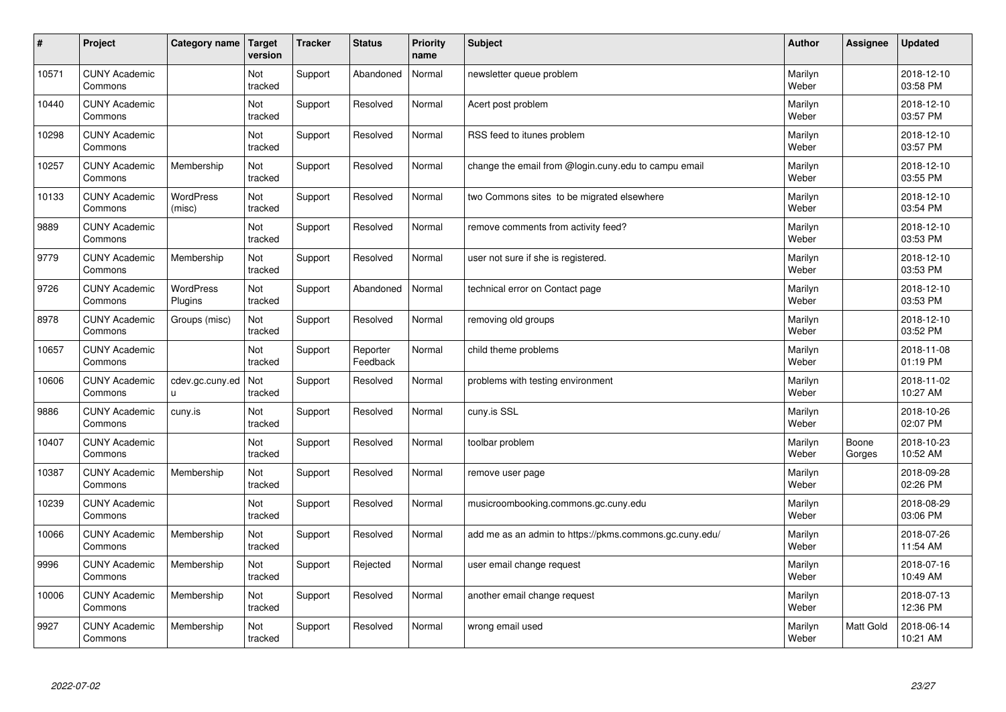| $\vert$ # | Project                         | Category name        | <b>Target</b><br>version | <b>Tracker</b> | <b>Status</b>        | Priority<br>name | <b>Subject</b>                                          | <b>Author</b>    | <b>Assignee</b> | <b>Updated</b>         |
|-----------|---------------------------------|----------------------|--------------------------|----------------|----------------------|------------------|---------------------------------------------------------|------------------|-----------------|------------------------|
| 10571     | <b>CUNY Academic</b><br>Commons |                      | Not<br>tracked           | Support        | Abandoned            | Normal           | newsletter queue problem                                | Marilyn<br>Weber |                 | 2018-12-10<br>03:58 PM |
| 10440     | <b>CUNY Academic</b><br>Commons |                      | Not<br>tracked           | Support        | Resolved             | Normal           | Acert post problem                                      | Marilyn<br>Weber |                 | 2018-12-10<br>03:57 PM |
| 10298     | <b>CUNY Academic</b><br>Commons |                      | Not<br>tracked           | Support        | Resolved             | Normal           | RSS feed to itunes problem                              | Marilyn<br>Weber |                 | 2018-12-10<br>03:57 PM |
| 10257     | <b>CUNY Academic</b><br>Commons | Membership           | Not<br>tracked           | Support        | Resolved             | Normal           | change the email from @login.cuny.edu to campu email    | Marilyn<br>Weber |                 | 2018-12-10<br>03:55 PM |
| 10133     | <b>CUNY Academic</b><br>Commons | WordPress<br>(misc)  | Not<br>tracked           | Support        | Resolved             | Normal           | two Commons sites to be migrated elsewhere              | Marilyn<br>Weber |                 | 2018-12-10<br>03:54 PM |
| 9889      | <b>CUNY Academic</b><br>Commons |                      | Not<br>tracked           | Support        | Resolved             | Normal           | remove comments from activity feed?                     | Marilyn<br>Weber |                 | 2018-12-10<br>03:53 PM |
| 9779      | <b>CUNY Academic</b><br>Commons | Membership           | Not<br>tracked           | Support        | Resolved             | Normal           | user not sure if she is registered.                     | Marilyn<br>Weber |                 | 2018-12-10<br>03:53 PM |
| 9726      | <b>CUNY Academic</b><br>Commons | WordPress<br>Plugins | Not<br>tracked           | Support        | Abandoned            | Normal           | technical error on Contact page                         | Marilyn<br>Weber |                 | 2018-12-10<br>03:53 PM |
| 8978      | <b>CUNY Academic</b><br>Commons | Groups (misc)        | Not<br>tracked           | Support        | Resolved             | Normal           | removing old groups                                     | Marilyn<br>Weber |                 | 2018-12-10<br>03:52 PM |
| 10657     | <b>CUNY Academic</b><br>Commons |                      | Not<br>tracked           | Support        | Reporter<br>Feedback | Normal           | child theme problems                                    | Marilyn<br>Weber |                 | 2018-11-08<br>01:19 PM |
| 10606     | <b>CUNY Academic</b><br>Commons | cdev.gc.cuny.ed<br>u | Not<br>tracked           | Support        | Resolved             | Normal           | problems with testing environment                       | Marilyn<br>Weber |                 | 2018-11-02<br>10:27 AM |
| 9886      | <b>CUNY Academic</b><br>Commons | cuny.is              | Not<br>tracked           | Support        | Resolved             | Normal           | cuny.is SSL                                             | Marilyn<br>Weber |                 | 2018-10-26<br>02:07 PM |
| 10407     | <b>CUNY Academic</b><br>Commons |                      | Not<br>tracked           | Support        | Resolved             | Normal           | toolbar problem                                         | Marilyn<br>Weber | Boone<br>Gorges | 2018-10-23<br>10:52 AM |
| 10387     | <b>CUNY Academic</b><br>Commons | Membership           | Not<br>tracked           | Support        | Resolved             | Normal           | remove user page                                        | Marilyn<br>Weber |                 | 2018-09-28<br>02:26 PM |
| 10239     | <b>CUNY Academic</b><br>Commons |                      | Not<br>tracked           | Support        | Resolved             | Normal           | musicroombooking.commons.gc.cuny.edu                    | Marilyn<br>Weber |                 | 2018-08-29<br>03:06 PM |
| 10066     | <b>CUNY Academic</b><br>Commons | Membership           | <b>Not</b><br>tracked    | Support        | Resolved             | Normal           | add me as an admin to https://pkms.commons.gc.cuny.edu/ | Marilyn<br>Weber |                 | 2018-07-26<br>11:54 AM |
| 9996      | <b>CUNY Academic</b><br>Commons | Membership           | Not<br>tracked           | Support        | Rejected             | Normal           | user email change request                               | Marilyn<br>Weber |                 | 2018-07-16<br>10:49 AM |
| 10006     | <b>CUNY Academic</b><br>Commons | Membership           | Not<br>tracked           | Support        | Resolved             | Normal           | another email change request                            | Marilyn<br>Weber |                 | 2018-07-13<br>12:36 PM |
| 9927      | <b>CUNY Academic</b><br>Commons | Membership           | Not<br>tracked           | Support        | Resolved             | Normal           | wrong email used                                        | Marilyn<br>Weber | Matt Gold       | 2018-06-14<br>10:21 AM |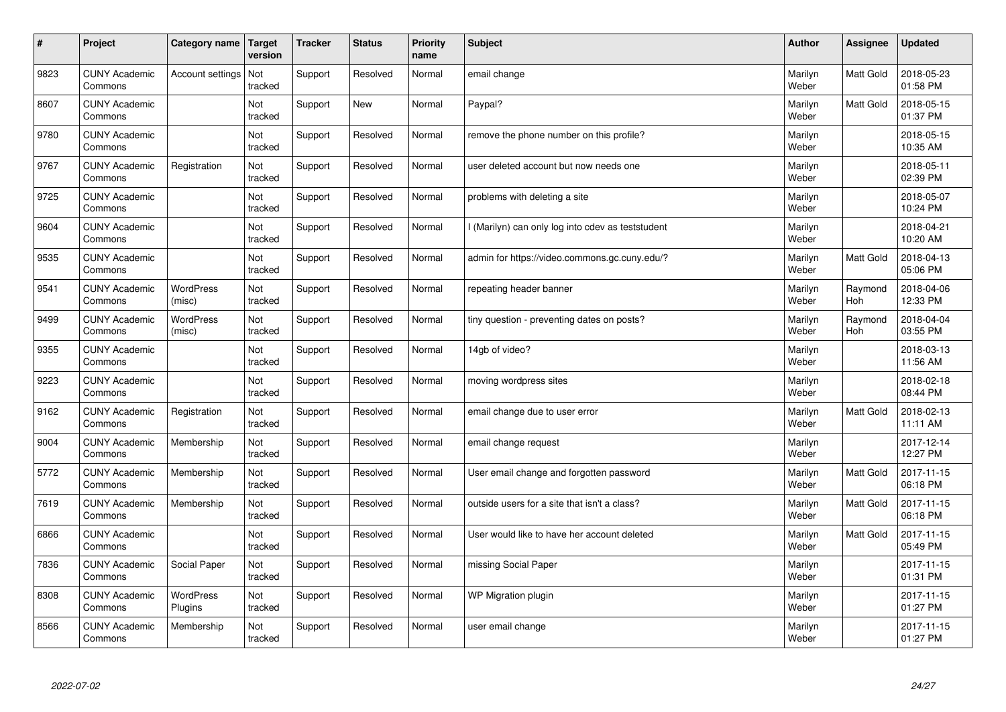| $\vert$ # | Project                         | Category name        | <b>Target</b><br>version | <b>Tracker</b> | <b>Status</b> | <b>Priority</b><br>name | <b>Subject</b>                                    | <b>Author</b>    | Assignee       | <b>Updated</b>         |
|-----------|---------------------------------|----------------------|--------------------------|----------------|---------------|-------------------------|---------------------------------------------------|------------------|----------------|------------------------|
| 9823      | <b>CUNY Academic</b><br>Commons | Account settings     | Not<br>tracked           | Support        | Resolved      | Normal                  | email change                                      | Marilyn<br>Weber | Matt Gold      | 2018-05-23<br>01:58 PM |
| 8607      | <b>CUNY Academic</b><br>Commons |                      | Not<br>tracked           | Support        | <b>New</b>    | Normal                  | Paypal?                                           | Marilyn<br>Weber | Matt Gold      | 2018-05-15<br>01:37 PM |
| 9780      | <b>CUNY Academic</b><br>Commons |                      | Not<br>tracked           | Support        | Resolved      | Normal                  | remove the phone number on this profile?          | Marilyn<br>Weber |                | 2018-05-15<br>10:35 AM |
| 9767      | <b>CUNY Academic</b><br>Commons | Registration         | Not<br>tracked           | Support        | Resolved      | Normal                  | user deleted account but now needs one            | Marilyn<br>Weber |                | 2018-05-11<br>02:39 PM |
| 9725      | <b>CUNY Academic</b><br>Commons |                      | <b>Not</b><br>tracked    | Support        | Resolved      | Normal                  | problems with deleting a site                     | Marilyn<br>Weber |                | 2018-05-07<br>10:24 PM |
| 9604      | <b>CUNY Academic</b><br>Commons |                      | Not<br>tracked           | Support        | Resolved      | Normal                  | I (Marilyn) can only log into cdev as teststudent | Marilyn<br>Weber |                | 2018-04-21<br>10:20 AM |
| 9535      | <b>CUNY Academic</b><br>Commons |                      | Not<br>tracked           | Support        | Resolved      | Normal                  | admin for https://video.commons.gc.cuny.edu/?     | Marilyn<br>Weber | Matt Gold      | 2018-04-13<br>05:06 PM |
| 9541      | <b>CUNY Academic</b><br>Commons | WordPress<br>(misc)  | Not<br>tracked           | Support        | Resolved      | Normal                  | repeating header banner                           | Marilyn<br>Weber | Raymond<br>Hoh | 2018-04-06<br>12:33 PM |
| 9499      | <b>CUNY Academic</b><br>Commons | WordPress<br>(misc)  | Not<br>tracked           | Support        | Resolved      | Normal                  | tiny question - preventing dates on posts?        | Marilyn<br>Weber | Raymond<br>Hoh | 2018-04-04<br>03:55 PM |
| 9355      | <b>CUNY Academic</b><br>Commons |                      | Not<br>tracked           | Support        | Resolved      | Normal                  | 14gb of video?                                    | Marilyn<br>Weber |                | 2018-03-13<br>11:56 AM |
| 9223      | <b>CUNY Academic</b><br>Commons |                      | Not<br>tracked           | Support        | Resolved      | Normal                  | moving wordpress sites                            | Marilyn<br>Weber |                | 2018-02-18<br>08:44 PM |
| 9162      | <b>CUNY Academic</b><br>Commons | Registration         | Not<br>tracked           | Support        | Resolved      | Normal                  | email change due to user error                    | Marilyn<br>Weber | Matt Gold      | 2018-02-13<br>11:11 AM |
| 9004      | <b>CUNY Academic</b><br>Commons | Membership           | Not<br>tracked           | Support        | Resolved      | Normal                  | email change request                              | Marilyn<br>Weber |                | 2017-12-14<br>12:27 PM |
| 5772      | <b>CUNY Academic</b><br>Commons | Membership           | Not<br>tracked           | Support        | Resolved      | Normal                  | User email change and forgotten password          | Marilyn<br>Weber | Matt Gold      | 2017-11-15<br>06:18 PM |
| 7619      | <b>CUNY Academic</b><br>Commons | Membership           | Not<br>tracked           | Support        | Resolved      | Normal                  | outside users for a site that isn't a class?      | Marilyn<br>Weber | Matt Gold      | 2017-11-15<br>06:18 PM |
| 6866      | <b>CUNY Academic</b><br>Commons |                      | Not<br>tracked           | Support        | Resolved      | Normal                  | User would like to have her account deleted       | Marilyn<br>Weber | Matt Gold      | 2017-11-15<br>05:49 PM |
| 7836      | <b>CUNY Academic</b><br>Commons | Social Paper         | Not<br>tracked           | Support        | Resolved      | Normal                  | missing Social Paper                              | Marilyn<br>Weber |                | 2017-11-15<br>01:31 PM |
| 8308      | <b>CUNY Academic</b><br>Commons | WordPress<br>Plugins | Not<br>tracked           | Support        | Resolved      | Normal                  | <b>WP Migration plugin</b>                        | Marilyn<br>Weber |                | 2017-11-15<br>01:27 PM |
| 8566      | <b>CUNY Academic</b><br>Commons | Membership           | Not<br>tracked           | Support        | Resolved      | Normal                  | user email change                                 | Marilyn<br>Weber |                | 2017-11-15<br>01:27 PM |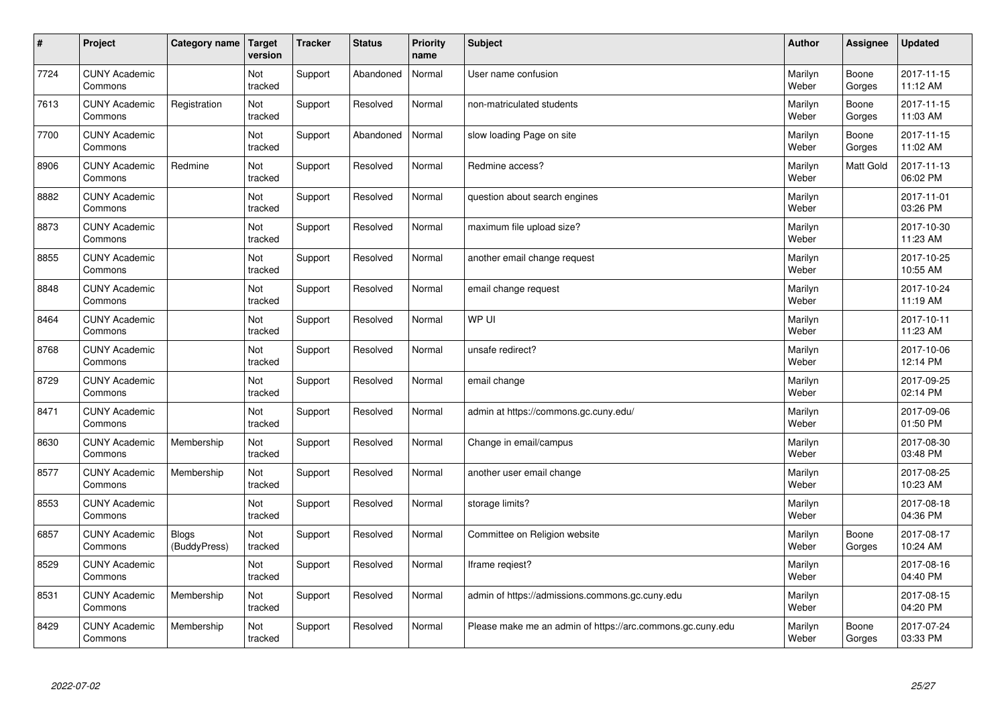| $\sharp$ | Project                         | Category name         | <b>Target</b><br>version | <b>Tracker</b> | <b>Status</b> | <b>Priority</b><br>name | <b>Subject</b>                                             | <b>Author</b>    | Assignee        | <b>Updated</b>         |
|----------|---------------------------------|-----------------------|--------------------------|----------------|---------------|-------------------------|------------------------------------------------------------|------------------|-----------------|------------------------|
| 7724     | <b>CUNY Academic</b><br>Commons |                       | Not<br>tracked           | Support        | Abandoned     | Normal                  | User name confusion                                        | Marilyn<br>Weber | Boone<br>Gorges | 2017-11-15<br>11:12 AM |
| 7613     | <b>CUNY Academic</b><br>Commons | Registration          | Not<br>tracked           | Support        | Resolved      | Normal                  | non-matriculated students                                  | Marilyn<br>Weber | Boone<br>Gorges | 2017-11-15<br>11:03 AM |
| 7700     | <b>CUNY Academic</b><br>Commons |                       | Not<br>tracked           | Support        | Abandoned     | Normal                  | slow loading Page on site                                  | Marilyn<br>Weber | Boone<br>Gorges | 2017-11-15<br>11:02 AM |
| 8906     | <b>CUNY Academic</b><br>Commons | Redmine               | Not<br>tracked           | Support        | Resolved      | Normal                  | Redmine access?                                            | Marilyn<br>Weber | Matt Gold       | 2017-11-13<br>06:02 PM |
| 8882     | <b>CUNY Academic</b><br>Commons |                       | Not<br>tracked           | Support        | Resolved      | Normal                  | question about search engines                              | Marilyn<br>Weber |                 | 2017-11-01<br>03:26 PM |
| 8873     | <b>CUNY Academic</b><br>Commons |                       | Not<br>tracked           | Support        | Resolved      | Normal                  | maximum file upload size?                                  | Marilyn<br>Weber |                 | 2017-10-30<br>11:23 AM |
| 8855     | <b>CUNY Academic</b><br>Commons |                       | Not<br>tracked           | Support        | Resolved      | Normal                  | another email change request                               | Marilyn<br>Weber |                 | 2017-10-25<br>10:55 AM |
| 8848     | <b>CUNY Academic</b><br>Commons |                       | Not<br>tracked           | Support        | Resolved      | Normal                  | email change request                                       | Marilyn<br>Weber |                 | 2017-10-24<br>11:19 AM |
| 8464     | <b>CUNY Academic</b><br>Commons |                       | Not<br>tracked           | Support        | Resolved      | Normal                  | WP UI                                                      | Marilyn<br>Weber |                 | 2017-10-11<br>11:23 AM |
| 8768     | <b>CUNY Academic</b><br>Commons |                       | Not<br>tracked           | Support        | Resolved      | Normal                  | unsafe redirect?                                           | Marilyn<br>Weber |                 | 2017-10-06<br>12:14 PM |
| 8729     | <b>CUNY Academic</b><br>Commons |                       | Not<br>tracked           | Support        | Resolved      | Normal                  | email change                                               | Marilyn<br>Weber |                 | 2017-09-25<br>02:14 PM |
| 8471     | <b>CUNY Academic</b><br>Commons |                       | Not<br>tracked           | Support        | Resolved      | Normal                  | admin at https://commons.gc.cuny.edu/                      | Marilyn<br>Weber |                 | 2017-09-06<br>01:50 PM |
| 8630     | <b>CUNY Academic</b><br>Commons | Membership            | Not<br>tracked           | Support        | Resolved      | Normal                  | Change in email/campus                                     | Marilyn<br>Weber |                 | 2017-08-30<br>03:48 PM |
| 8577     | <b>CUNY Academic</b><br>Commons | Membership            | Not<br>tracked           | Support        | Resolved      | Normal                  | another user email change                                  | Marilyn<br>Weber |                 | 2017-08-25<br>10:23 AM |
| 8553     | <b>CUNY Academic</b><br>Commons |                       | Not<br>tracked           | Support        | Resolved      | Normal                  | storage limits?                                            | Marilyn<br>Weber |                 | 2017-08-18<br>04:36 PM |
| 6857     | <b>CUNY Academic</b><br>Commons | Blogs<br>(BuddyPress) | Not<br>tracked           | Support        | Resolved      | Normal                  | Committee on Religion website                              | Marilyn<br>Weber | Boone<br>Gorges | 2017-08-17<br>10:24 AM |
| 8529     | <b>CUNY Academic</b><br>Commons |                       | Not<br>tracked           | Support        | Resolved      | Normal                  | Iframe regiest?                                            | Marilyn<br>Weber |                 | 2017-08-16<br>04:40 PM |
| 8531     | <b>CUNY Academic</b><br>Commons | Membership            | Not<br>tracked           | Support        | Resolved      | Normal                  | admin of https://admissions.commons.gc.cuny.edu            | Marilyn<br>Weber |                 | 2017-08-15<br>04:20 PM |
| 8429     | <b>CUNY Academic</b><br>Commons | Membership            | Not<br>tracked           | Support        | Resolved      | Normal                  | Please make me an admin of https://arc.commons.gc.cuny.edu | Marilyn<br>Weber | Boone<br>Gorges | 2017-07-24<br>03:33 PM |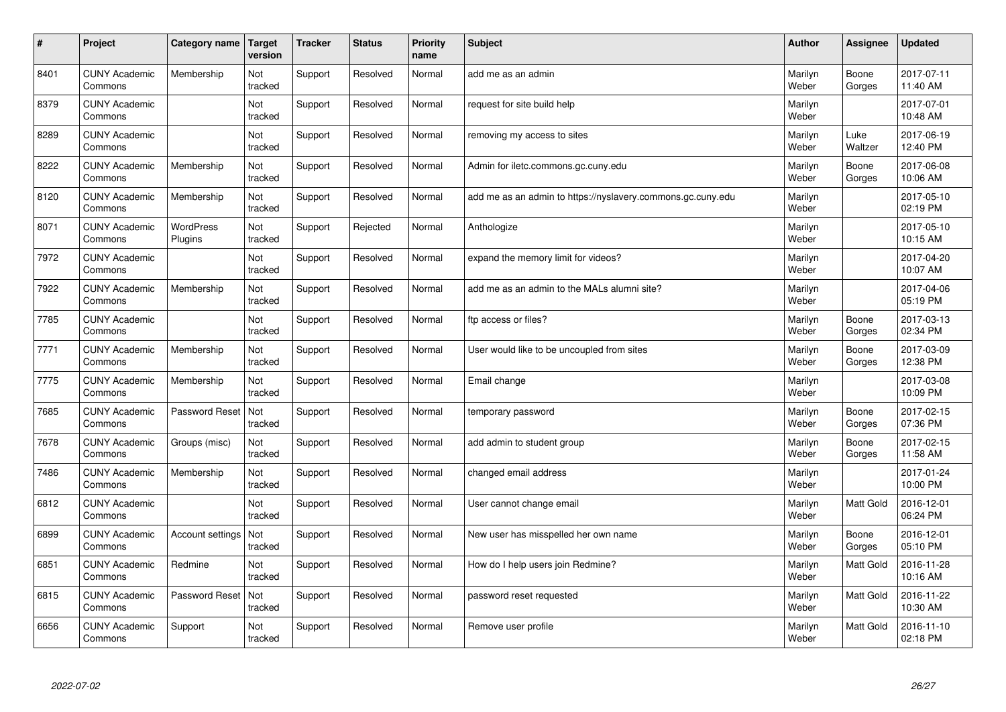| #    | Project                         | Category name               | Target<br>version | <b>Tracker</b> | <b>Status</b> | <b>Priority</b><br>name | <b>Subject</b>                                              | <b>Author</b>    | Assignee        | <b>Updated</b>         |
|------|---------------------------------|-----------------------------|-------------------|----------------|---------------|-------------------------|-------------------------------------------------------------|------------------|-----------------|------------------------|
| 8401 | <b>CUNY Academic</b><br>Commons | Membership                  | Not<br>tracked    | Support        | Resolved      | Normal                  | add me as an admin                                          | Marilyn<br>Weber | Boone<br>Gorges | 2017-07-11<br>11:40 AM |
| 8379 | <b>CUNY Academic</b><br>Commons |                             | Not<br>tracked    | Support        | Resolved      | Normal                  | request for site build help                                 | Marilyn<br>Weber |                 | 2017-07-01<br>10:48 AM |
| 8289 | <b>CUNY Academic</b><br>Commons |                             | Not<br>tracked    | Support        | Resolved      | Normal                  | removing my access to sites                                 | Marilyn<br>Weber | Luke<br>Waltzer | 2017-06-19<br>12:40 PM |
| 8222 | <b>CUNY Academic</b><br>Commons | Membership                  | Not<br>tracked    | Support        | Resolved      | Normal                  | Admin for iletc.commons.gc.cuny.edu                         | Marilyn<br>Weber | Boone<br>Gorges | 2017-06-08<br>10:06 AM |
| 8120 | <b>CUNY Academic</b><br>Commons | Membership                  | Not<br>tracked    | Support        | Resolved      | Normal                  | add me as an admin to https://nyslavery.commons.gc.cuny.edu | Marilyn<br>Weber |                 | 2017-05-10<br>02:19 PM |
| 8071 | <b>CUNY Academic</b><br>Commons | <b>WordPress</b><br>Plugins | Not<br>tracked    | Support        | Rejected      | Normal                  | Anthologize                                                 | Marilyn<br>Weber |                 | 2017-05-10<br>10:15 AM |
| 7972 | <b>CUNY Academic</b><br>Commons |                             | Not<br>tracked    | Support        | Resolved      | Normal                  | expand the memory limit for videos?                         | Marilyn<br>Weber |                 | 2017-04-20<br>10:07 AM |
| 7922 | <b>CUNY Academic</b><br>Commons | Membership                  | Not<br>tracked    | Support        | Resolved      | Normal                  | add me as an admin to the MALs alumni site?                 | Marilyn<br>Weber |                 | 2017-04-06<br>05:19 PM |
| 7785 | <b>CUNY Academic</b><br>Commons |                             | Not<br>tracked    | Support        | Resolved      | Normal                  | ftp access or files?                                        | Marilyn<br>Weber | Boone<br>Gorges | 2017-03-13<br>02:34 PM |
| 7771 | <b>CUNY Academic</b><br>Commons | Membership                  | Not<br>tracked    | Support        | Resolved      | Normal                  | User would like to be uncoupled from sites                  | Marilyn<br>Weber | Boone<br>Gorges | 2017-03-09<br>12:38 PM |
| 7775 | <b>CUNY Academic</b><br>Commons | Membership                  | Not<br>tracked    | Support        | Resolved      | Normal                  | Email change                                                | Marilyn<br>Weber |                 | 2017-03-08<br>10:09 PM |
| 7685 | <b>CUNY Academic</b><br>Commons | Password Reset              | Not<br>tracked    | Support        | Resolved      | Normal                  | temporary password                                          | Marilyn<br>Weber | Boone<br>Gorges | 2017-02-15<br>07:36 PM |
| 7678 | <b>CUNY Academic</b><br>Commons | Groups (misc)               | Not<br>tracked    | Support        | Resolved      | Normal                  | add admin to student group                                  | Marilyn<br>Weber | Boone<br>Gorges | 2017-02-15<br>11:58 AM |
| 7486 | <b>CUNY Academic</b><br>Commons | Membership                  | Not<br>tracked    | Support        | Resolved      | Normal                  | changed email address                                       | Marilyn<br>Weber |                 | 2017-01-24<br>10:00 PM |
| 6812 | <b>CUNY Academic</b><br>Commons |                             | Not<br>tracked    | Support        | Resolved      | Normal                  | User cannot change email                                    | Marilyn<br>Weber | Matt Gold       | 2016-12-01<br>06:24 PM |
| 6899 | <b>CUNY Academic</b><br>Commons | <b>Account settings</b>     | Not<br>tracked    | Support        | Resolved      | Normal                  | New user has misspelled her own name                        | Marilyn<br>Weber | Boone<br>Gorges | 2016-12-01<br>05:10 PM |
| 6851 | <b>CUNY Academic</b><br>Commons | Redmine                     | Not<br>tracked    | Support        | Resolved      | Normal                  | How do I help users join Redmine?                           | Marilyn<br>Weber | Matt Gold       | 2016-11-28<br>10:16 AM |
| 6815 | <b>CUNY Academic</b><br>Commons | Password Reset              | Not<br>tracked    | Support        | Resolved      | Normal                  | password reset requested                                    | Marilyn<br>Weber | Matt Gold       | 2016-11-22<br>10:30 AM |
| 6656 | <b>CUNY Academic</b><br>Commons | Support                     | Not<br>tracked    | Support        | Resolved      | Normal                  | Remove user profile                                         | Marilyn<br>Weber | Matt Gold       | 2016-11-10<br>02:18 PM |